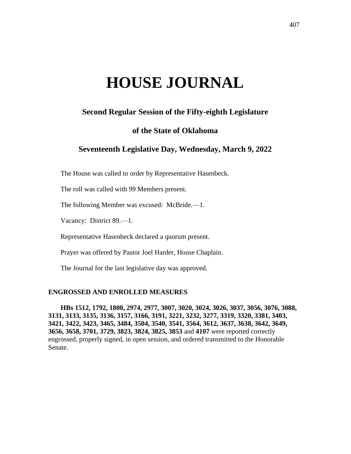# **HOUSE JOURNAL**

# **Second Regular Session of the Fifty-eighth Legislature**

## **of the State of Oklahoma**

# **Seventeenth Legislative Day, Wednesday, March 9, 2022**

The House was called to order by Representative Hasenbeck.

The roll was called with 99 Members present.

The following Member was excused: McBride.—1.

Vacancy: District 89.—1.

Representative Hasenbeck declared a quorum present.

Prayer was offered by Pastor Joel Harder, House Chaplain.

The Journal for the last legislative day was approved.

## **ENGROSSED AND ENROLLED MEASURES**

**HBs 1512, 1792, 1800, 2974, 2977, 3007, 3020, 3024, 3026, 3037, 3056, 3076, 3088, 3131, 3133, 3135, 3136, 3157, 3166, 3191, 3221, 3232, 3277, 3319, 3320, 3381, 3403, 3421, 3422, 3423, 3465, 3484, 3504, 3540, 3541, 3564, 3612, 3637, 3638, 3642, 3649, 3656, 3658, 3701, 3729, 3823, 3824, 3825, 3853** and **4107** were reported correctly engrossed, properly signed, in open session, and ordered transmitted to the Honorable Senate.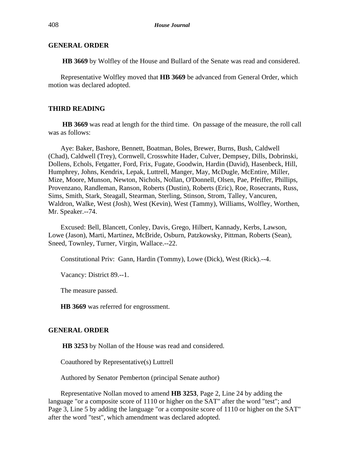## **GENERAL ORDER**

**HB 3669** by Wolfley of the House and Bullard of the Senate was read and considered.

Representative Wolfley moved that **HB 3669** be advanced from General Order, which motion was declared adopted.

## **THIRD READING**

**HB 3669** was read at length for the third time. On passage of the measure, the roll call was as follows:

Aye: Baker, Bashore, Bennett, Boatman, Boles, Brewer, Burns, Bush, Caldwell (Chad), Caldwell (Trey), Cornwell, Crosswhite Hader, Culver, Dempsey, Dills, Dobrinski, Dollens, Echols, Fetgatter, Ford, Frix, Fugate, Goodwin, Hardin (David), Hasenbeck, Hill, Humphrey, Johns, Kendrix, Lepak, Luttrell, Manger, May, McDugle, McEntire, Miller, Mize, Moore, Munson, Newton, Nichols, Nollan, O'Donnell, Olsen, Pae, Pfeiffer, Phillips, Provenzano, Randleman, Ranson, Roberts (Dustin), Roberts (Eric), Roe, Rosecrants, Russ, Sims, Smith, Stark, Steagall, Stearman, Sterling, Stinson, Strom, Talley, Vancuren, Waldron, Walke, West (Josh), West (Kevin), West (Tammy), Williams, Wolfley, Worthen, Mr. Speaker.--74.

Excused: Bell, Blancett, Conley, Davis, Grego, Hilbert, Kannady, Kerbs, Lawson, Lowe (Jason), Marti, Martinez, McBride, Osburn, Patzkowsky, Pittman, Roberts (Sean), Sneed, Townley, Turner, Virgin, Wallace.--22.

Constitutional Priv: Gann, Hardin (Tommy), Lowe (Dick), West (Rick).--4.

Vacancy: District 89.--1.

The measure passed.

**HB 3669** was referred for engrossment.

#### **GENERAL ORDER**

**HB 3253** by Nollan of the House was read and considered.

Coauthored by Representative(s) Luttrell

Authored by Senator Pemberton (principal Senate author)

Representative Nollan moved to amend **HB 3253**, Page 2, Line 24 by adding the language "or a composite score of 1110 or higher on the SAT" after the word "test"; and Page 3, Line 5 by adding the language "or a composite score of 1110 or higher on the SAT" after the word "test", which amendment was declared adopted.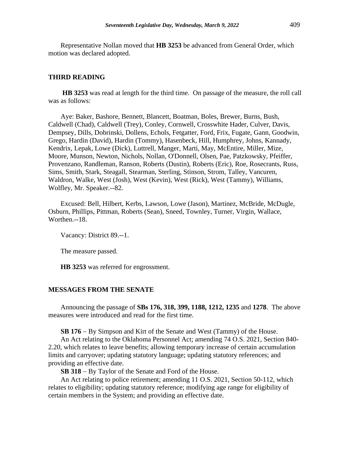Representative Nollan moved that **HB 3253** be advanced from General Order, which motion was declared adopted.

#### **THIRD READING**

**HB 3253** was read at length for the third time. On passage of the measure, the roll call was as follows:

Aye: Baker, Bashore, Bennett, Blancett, Boatman, Boles, Brewer, Burns, Bush, Caldwell (Chad), Caldwell (Trey), Conley, Cornwell, Crosswhite Hader, Culver, Davis, Dempsey, Dills, Dobrinski, Dollens, Echols, Fetgatter, Ford, Frix, Fugate, Gann, Goodwin, Grego, Hardin (David), Hardin (Tommy), Hasenbeck, Hill, Humphrey, Johns, Kannady, Kendrix, Lepak, Lowe (Dick), Luttrell, Manger, Marti, May, McEntire, Miller, Mize, Moore, Munson, Newton, Nichols, Nollan, O'Donnell, Olsen, Pae, Patzkowsky, Pfeiffer, Provenzano, Randleman, Ranson, Roberts (Dustin), Roberts (Eric), Roe, Rosecrants, Russ, Sims, Smith, Stark, Steagall, Stearman, Sterling, Stinson, Strom, Talley, Vancuren, Waldron, Walke, West (Josh), West (Kevin), West (Rick), West (Tammy), Williams, Wolfley, Mr. Speaker.--82.

Excused: Bell, Hilbert, Kerbs, Lawson, Lowe (Jason), Martinez, McBride, McDugle, Osburn, Phillips, Pittman, Roberts (Sean), Sneed, Townley, Turner, Virgin, Wallace, Worthen.--18.

Vacancy: District 89.--1.

The measure passed.

**HB 3253** was referred for engrossment.

## **MESSAGES FROM THE SENATE**

Announcing the passage of **SBs 176, 318, 399, 1188, 1212, 1235** and **1278**. The above measures were introduced and read for the first time.

**SB 176** − By Simpson and Kirt of the Senate and West (Tammy) of the House.

An Act relating to the Oklahoma Personnel Act; amending 74 O.S. 2021, Section 840- 2.20, which relates to leave benefits; allowing temporary increase of certain accumulation limits and carryover; updating statutory language; updating statutory references; and providing an effective date.

**SB 318** − By Taylor of the Senate and Ford of the House.

An Act relating to police retirement; amending 11 O.S. 2021, Section 50-112, which relates to eligibility; updating statutory reference; modifying age range for eligibility of certain members in the System; and providing an effective date.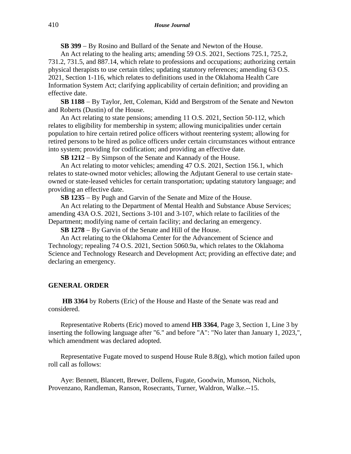**SB 399** − By Rosino and Bullard of the Senate and Newton of the House.

An Act relating to the healing arts; amending 59 O.S. 2021, Sections 725.1, 725.2, 731.2, 731.5, and 887.14, which relate to professions and occupations; authorizing certain physical therapists to use certain titles; updating statutory references; amending 63 O.S. 2021, Section 1-116, which relates to definitions used in the Oklahoma Health Care Information System Act; clarifying applicability of certain definition; and providing an effective date.

**SB 1188** − By Taylor, Jett, Coleman, Kidd and Bergstrom of the Senate and Newton and Roberts (Dustin) of the House.

An Act relating to state pensions; amending 11 O.S. 2021, Section 50-112, which relates to eligibility for membership in system; allowing municipalities under certain population to hire certain retired police officers without reentering system; allowing for retired persons to be hired as police officers under certain circumstances without entrance into system; providing for codification; and providing an effective date.

**SB 1212** − By Simpson of the Senate and Kannady of the House.

An Act relating to motor vehicles; amending 47 O.S. 2021, Section 156.1, which relates to state-owned motor vehicles; allowing the Adjutant General to use certain stateowned or state-leased vehicles for certain transportation; updating statutory language; and providing an effective date.

**SB 1235** − By Pugh and Garvin of the Senate and Mize of the House.

An Act relating to the Department of Mental Health and Substance Abuse Services; amending 43A O.S. 2021, Sections 3-101 and 3-107, which relate to facilities of the Department; modifying name of certain facility; and declaring an emergency.

**SB 1278** − By Garvin of the Senate and Hill of the House.

An Act relating to the Oklahoma Center for the Advancement of Science and Technology; repealing 74 O.S. 2021, Section 5060.9a, which relates to the Oklahoma Science and Technology Research and Development Act; providing an effective date; and declaring an emergency.

#### **GENERAL ORDER**

**HB 3364** by Roberts (Eric) of the House and Haste of the Senate was read and considered.

Representative Roberts (Eric) moved to amend **HB 3364**, Page 3, Section 1, Line 3 by inserting the following language after "6." and before "A": "No later than January 1, 2023,", which amendment was declared adopted.

Representative Fugate moved to suspend House Rule 8.8(g), which motion failed upon roll call as follows:

Aye: Bennett, Blancett, Brewer, Dollens, Fugate, Goodwin, Munson, Nichols, Provenzano, Randleman, Ranson, Rosecrants, Turner, Waldron, Walke.--15.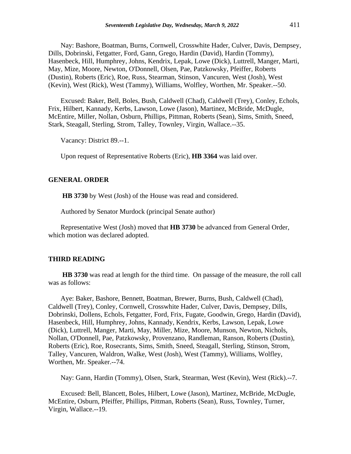Nay: Bashore, Boatman, Burns, Cornwell, Crosswhite Hader, Culver, Davis, Dempsey, Dills, Dobrinski, Fetgatter, Ford, Gann, Grego, Hardin (David), Hardin (Tommy), Hasenbeck, Hill, Humphrey, Johns, Kendrix, Lepak, Lowe (Dick), Luttrell, Manger, Marti, May, Mize, Moore, Newton, O'Donnell, Olsen, Pae, Patzkowsky, Pfeiffer, Roberts (Dustin), Roberts (Eric), Roe, Russ, Stearman, Stinson, Vancuren, West (Josh), West (Kevin), West (Rick), West (Tammy), Williams, Wolfley, Worthen, Mr. Speaker.--50.

Excused: Baker, Bell, Boles, Bush, Caldwell (Chad), Caldwell (Trey), Conley, Echols, Frix, Hilbert, Kannady, Kerbs, Lawson, Lowe (Jason), Martinez, McBride, McDugle, McEntire, Miller, Nollan, Osburn, Phillips, Pittman, Roberts (Sean), Sims, Smith, Sneed, Stark, Steagall, Sterling, Strom, Talley, Townley, Virgin, Wallace.--35.

Vacancy: District 89.--1.

Upon request of Representative Roberts (Eric), **HB 3364** was laid over.

## **GENERAL ORDER**

**HB 3730** by West (Josh) of the House was read and considered.

Authored by Senator Murdock (principal Senate author)

Representative West (Josh) moved that **HB 3730** be advanced from General Order, which motion was declared adopted.

#### **THIRD READING**

**HB 3730** was read at length for the third time. On passage of the measure, the roll call was as follows:

Aye: Baker, Bashore, Bennett, Boatman, Brewer, Burns, Bush, Caldwell (Chad), Caldwell (Trey), Conley, Cornwell, Crosswhite Hader, Culver, Davis, Dempsey, Dills, Dobrinski, Dollens, Echols, Fetgatter, Ford, Frix, Fugate, Goodwin, Grego, Hardin (David), Hasenbeck, Hill, Humphrey, Johns, Kannady, Kendrix, Kerbs, Lawson, Lepak, Lowe (Dick), Luttrell, Manger, Marti, May, Miller, Mize, Moore, Munson, Newton, Nichols, Nollan, O'Donnell, Pae, Patzkowsky, Provenzano, Randleman, Ranson, Roberts (Dustin), Roberts (Eric), Roe, Rosecrants, Sims, Smith, Sneed, Steagall, Sterling, Stinson, Strom, Talley, Vancuren, Waldron, Walke, West (Josh), West (Tammy), Williams, Wolfley, Worthen, Mr. Speaker.--74.

Nay: Gann, Hardin (Tommy), Olsen, Stark, Stearman, West (Kevin), West (Rick).--7.

Excused: Bell, Blancett, Boles, Hilbert, Lowe (Jason), Martinez, McBride, McDugle, McEntire, Osburn, Pfeiffer, Phillips, Pittman, Roberts (Sean), Russ, Townley, Turner, Virgin, Wallace.--19.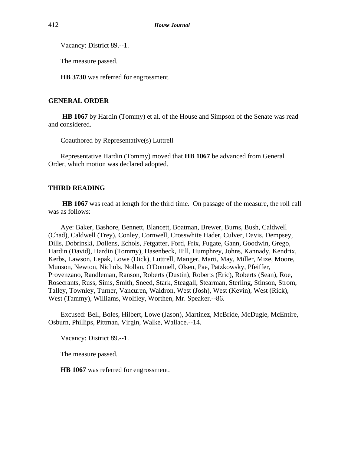Vacancy: District 89.--1.

The measure passed.

**HB 3730** was referred for engrossment.

## **GENERAL ORDER**

**HB 1067** by Hardin (Tommy) et al. of the House and Simpson of the Senate was read and considered.

Coauthored by Representative(s) Luttrell

Representative Hardin (Tommy) moved that **HB 1067** be advanced from General Order, which motion was declared adopted.

## **THIRD READING**

**HB 1067** was read at length for the third time. On passage of the measure, the roll call was as follows:

Aye: Baker, Bashore, Bennett, Blancett, Boatman, Brewer, Burns, Bush, Caldwell (Chad), Caldwell (Trey), Conley, Cornwell, Crosswhite Hader, Culver, Davis, Dempsey, Dills, Dobrinski, Dollens, Echols, Fetgatter, Ford, Frix, Fugate, Gann, Goodwin, Grego, Hardin (David), Hardin (Tommy), Hasenbeck, Hill, Humphrey, Johns, Kannady, Kendrix, Kerbs, Lawson, Lepak, Lowe (Dick), Luttrell, Manger, Marti, May, Miller, Mize, Moore, Munson, Newton, Nichols, Nollan, O'Donnell, Olsen, Pae, Patzkowsky, Pfeiffer, Provenzano, Randleman, Ranson, Roberts (Dustin), Roberts (Eric), Roberts (Sean), Roe, Rosecrants, Russ, Sims, Smith, Sneed, Stark, Steagall, Stearman, Sterling, Stinson, Strom, Talley, Townley, Turner, Vancuren, Waldron, West (Josh), West (Kevin), West (Rick), West (Tammy), Williams, Wolfley, Worthen, Mr. Speaker.--86.

Excused: Bell, Boles, Hilbert, Lowe (Jason), Martinez, McBride, McDugle, McEntire, Osburn, Phillips, Pittman, Virgin, Walke, Wallace.--14.

Vacancy: District 89.--1.

The measure passed.

**HB 1067** was referred for engrossment.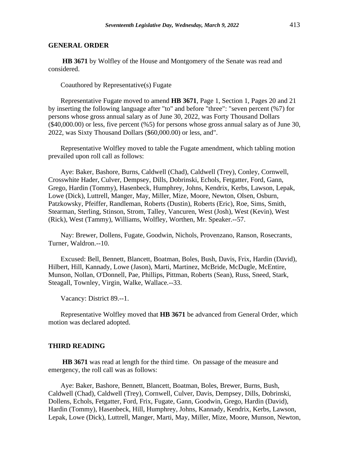## **GENERAL ORDER**

**HB 3671** by Wolfley of the House and Montgomery of the Senate was read and considered.

Coauthored by Representative(s) Fugate

Representative Fugate moved to amend **HB 3671**, Page 1, Section 1, Pages 20 and 21 by inserting the following language after "to" and before "three": "seven percent (%7) for persons whose gross annual salary as of June 30, 2022, was Forty Thousand Dollars (\$40,000.00) or less, five percent (%5) for persons whose gross annual salary as of June 30, 2022, was Sixty Thousand Dollars (\$60,000.00) or less, and".

Representative Wolfley moved to table the Fugate amendment, which tabling motion prevailed upon roll call as follows:

Aye: Baker, Bashore, Burns, Caldwell (Chad), Caldwell (Trey), Conley, Cornwell, Crosswhite Hader, Culver, Dempsey, Dills, Dobrinski, Echols, Fetgatter, Ford, Gann, Grego, Hardin (Tommy), Hasenbeck, Humphrey, Johns, Kendrix, Kerbs, Lawson, Lepak, Lowe (Dick), Luttrell, Manger, May, Miller, Mize, Moore, Newton, Olsen, Osburn, Patzkowsky, Pfeiffer, Randleman, Roberts (Dustin), Roberts (Eric), Roe, Sims, Smith, Stearman, Sterling, Stinson, Strom, Talley, Vancuren, West (Josh), West (Kevin), West (Rick), West (Tammy), Williams, Wolfley, Worthen, Mr. Speaker.--57.

Nay: Brewer, Dollens, Fugate, Goodwin, Nichols, Provenzano, Ranson, Rosecrants, Turner, Waldron.--10.

Excused: Bell, Bennett, Blancett, Boatman, Boles, Bush, Davis, Frix, Hardin (David), Hilbert, Hill, Kannady, Lowe (Jason), Marti, Martinez, McBride, McDugle, McEntire, Munson, Nollan, O'Donnell, Pae, Phillips, Pittman, Roberts (Sean), Russ, Sneed, Stark, Steagall, Townley, Virgin, Walke, Wallace.--33.

Vacancy: District 89.--1.

Representative Wolfley moved that **HB 3671** be advanced from General Order, which motion was declared adopted.

#### **THIRD READING**

**HB 3671** was read at length for the third time. On passage of the measure and emergency, the roll call was as follows:

Aye: Baker, Bashore, Bennett, Blancett, Boatman, Boles, Brewer, Burns, Bush, Caldwell (Chad), Caldwell (Trey), Cornwell, Culver, Davis, Dempsey, Dills, Dobrinski, Dollens, Echols, Fetgatter, Ford, Frix, Fugate, Gann, Goodwin, Grego, Hardin (David), Hardin (Tommy), Hasenbeck, Hill, Humphrey, Johns, Kannady, Kendrix, Kerbs, Lawson, Lepak, Lowe (Dick), Luttrell, Manger, Marti, May, Miller, Mize, Moore, Munson, Newton,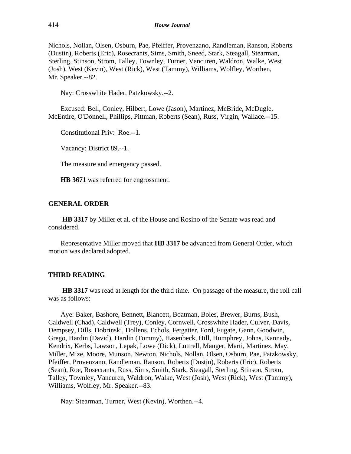Nichols, Nollan, Olsen, Osburn, Pae, Pfeiffer, Provenzano, Randleman, Ranson, Roberts (Dustin), Roberts (Eric), Rosecrants, Sims, Smith, Sneed, Stark, Steagall, Stearman, Sterling, Stinson, Strom, Talley, Townley, Turner, Vancuren, Waldron, Walke, West (Josh), West (Kevin), West (Rick), West (Tammy), Williams, Wolfley, Worthen, Mr. Speaker.--82.

Nay: Crosswhite Hader, Patzkowsky.--2.

Excused: Bell, Conley, Hilbert, Lowe (Jason), Martinez, McBride, McDugle, McEntire, O'Donnell, Phillips, Pittman, Roberts (Sean), Russ, Virgin, Wallace.--15.

Constitutional Priv: Roe.--1.

Vacancy: District 89.--1.

The measure and emergency passed.

**HB 3671** was referred for engrossment.

## **GENERAL ORDER**

**HB 3317** by Miller et al. of the House and Rosino of the Senate was read and considered.

Representative Miller moved that **HB 3317** be advanced from General Order, which motion was declared adopted.

## **THIRD READING**

**HB 3317** was read at length for the third time. On passage of the measure, the roll call was as follows:

Aye: Baker, Bashore, Bennett, Blancett, Boatman, Boles, Brewer, Burns, Bush, Caldwell (Chad), Caldwell (Trey), Conley, Cornwell, Crosswhite Hader, Culver, Davis, Dempsey, Dills, Dobrinski, Dollens, Echols, Fetgatter, Ford, Fugate, Gann, Goodwin, Grego, Hardin (David), Hardin (Tommy), Hasenbeck, Hill, Humphrey, Johns, Kannady, Kendrix, Kerbs, Lawson, Lepak, Lowe (Dick), Luttrell, Manger, Marti, Martinez, May, Miller, Mize, Moore, Munson, Newton, Nichols, Nollan, Olsen, Osburn, Pae, Patzkowsky, Pfeiffer, Provenzano, Randleman, Ranson, Roberts (Dustin), Roberts (Eric), Roberts (Sean), Roe, Rosecrants, Russ, Sims, Smith, Stark, Steagall, Sterling, Stinson, Strom, Talley, Townley, Vancuren, Waldron, Walke, West (Josh), West (Rick), West (Tammy), Williams, Wolfley, Mr. Speaker.--83.

Nay: Stearman, Turner, West (Kevin), Worthen.--4.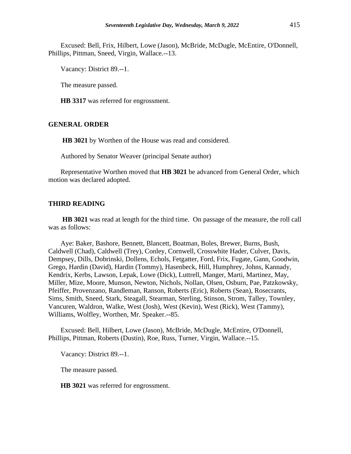Excused: Bell, Frix, Hilbert, Lowe (Jason), McBride, McDugle, McEntire, O'Donnell, Phillips, Pittman, Sneed, Virgin, Wallace.--13.

Vacancy: District 89.--1.

The measure passed.

**HB 3317** was referred for engrossment.

## **GENERAL ORDER**

**HB 3021** by Worthen of the House was read and considered.

Authored by Senator Weaver (principal Senate author)

Representative Worthen moved that **HB 3021** be advanced from General Order, which motion was declared adopted.

#### **THIRD READING**

**HB 3021** was read at length for the third time. On passage of the measure, the roll call was as follows:

Aye: Baker, Bashore, Bennett, Blancett, Boatman, Boles, Brewer, Burns, Bush, Caldwell (Chad), Caldwell (Trey), Conley, Cornwell, Crosswhite Hader, Culver, Davis, Dempsey, Dills, Dobrinski, Dollens, Echols, Fetgatter, Ford, Frix, Fugate, Gann, Goodwin, Grego, Hardin (David), Hardin (Tommy), Hasenbeck, Hill, Humphrey, Johns, Kannady, Kendrix, Kerbs, Lawson, Lepak, Lowe (Dick), Luttrell, Manger, Marti, Martinez, May, Miller, Mize, Moore, Munson, Newton, Nichols, Nollan, Olsen, Osburn, Pae, Patzkowsky, Pfeiffer, Provenzano, Randleman, Ranson, Roberts (Eric), Roberts (Sean), Rosecrants, Sims, Smith, Sneed, Stark, Steagall, Stearman, Sterling, Stinson, Strom, Talley, Townley, Vancuren, Waldron, Walke, West (Josh), West (Kevin), West (Rick), West (Tammy), Williams, Wolfley, Worthen, Mr. Speaker.--85.

Excused: Bell, Hilbert, Lowe (Jason), McBride, McDugle, McEntire, O'Donnell, Phillips, Pittman, Roberts (Dustin), Roe, Russ, Turner, Virgin, Wallace.--15.

Vacancy: District 89.--1.

The measure passed.

**HB 3021** was referred for engrossment.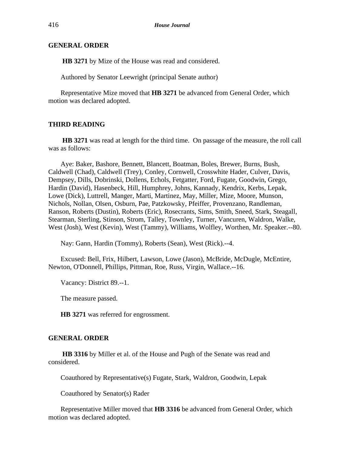## **GENERAL ORDER**

**HB 3271** by Mize of the House was read and considered.

Authored by Senator Leewright (principal Senate author)

Representative Mize moved that **HB 3271** be advanced from General Order, which motion was declared adopted.

## **THIRD READING**

**HB 3271** was read at length for the third time. On passage of the measure, the roll call was as follows:

Aye: Baker, Bashore, Bennett, Blancett, Boatman, Boles, Brewer, Burns, Bush, Caldwell (Chad), Caldwell (Trey), Conley, Cornwell, Crosswhite Hader, Culver, Davis, Dempsey, Dills, Dobrinski, Dollens, Echols, Fetgatter, Ford, Fugate, Goodwin, Grego, Hardin (David), Hasenbeck, Hill, Humphrey, Johns, Kannady, Kendrix, Kerbs, Lepak, Lowe (Dick), Luttrell, Manger, Marti, Martinez, May, Miller, Mize, Moore, Munson, Nichols, Nollan, Olsen, Osburn, Pae, Patzkowsky, Pfeiffer, Provenzano, Randleman, Ranson, Roberts (Dustin), Roberts (Eric), Rosecrants, Sims, Smith, Sneed, Stark, Steagall, Stearman, Sterling, Stinson, Strom, Talley, Townley, Turner, Vancuren, Waldron, Walke, West (Josh), West (Kevin), West (Tammy), Williams, Wolfley, Worthen, Mr. Speaker.--80.

Nay: Gann, Hardin (Tommy), Roberts (Sean), West (Rick).--4.

Excused: Bell, Frix, Hilbert, Lawson, Lowe (Jason), McBride, McDugle, McEntire, Newton, O'Donnell, Phillips, Pittman, Roe, Russ, Virgin, Wallace.--16.

Vacancy: District 89.--1.

The measure passed.

**HB 3271** was referred for engrossment.

#### **GENERAL ORDER**

**HB 3316** by Miller et al. of the House and Pugh of the Senate was read and considered.

Coauthored by Representative(s) Fugate, Stark, Waldron, Goodwin, Lepak

Coauthored by Senator(s) Rader

Representative Miller moved that **HB 3316** be advanced from General Order, which motion was declared adopted.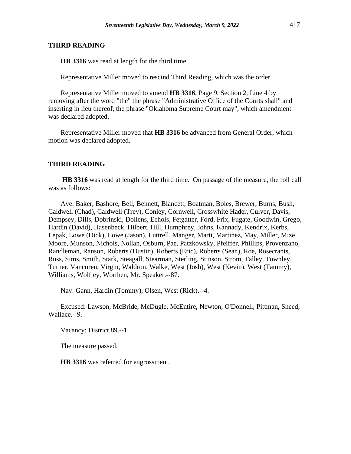## **THIRD READING**

**HB 3316** was read at length for the third time.

Representative Miller moved to rescind Third Reading, which was the order.

Representative Miller moved to amend **HB 3316**, Page 9, Section 2, Line 4 by removing after the word "the" the phrase "Administrative Office of the Courts shall" and inserting in lieu thereof, the phrase "Oklahoma Supreme Court may", which amendment was declared adopted.

Representative Miller moved that **HB 3316** be advanced from General Order, which motion was declared adopted.

## **THIRD READING**

**HB 3316** was read at length for the third time. On passage of the measure, the roll call was as follows:

Aye: Baker, Bashore, Bell, Bennett, Blancett, Boatman, Boles, Brewer, Burns, Bush, Caldwell (Chad), Caldwell (Trey), Conley, Cornwell, Crosswhite Hader, Culver, Davis, Dempsey, Dills, Dobrinski, Dollens, Echols, Fetgatter, Ford, Frix, Fugate, Goodwin, Grego, Hardin (David), Hasenbeck, Hilbert, Hill, Humphrey, Johns, Kannady, Kendrix, Kerbs, Lepak, Lowe (Dick), Lowe (Jason), Luttrell, Manger, Marti, Martinez, May, Miller, Mize, Moore, Munson, Nichols, Nollan, Osburn, Pae, Patzkowsky, Pfeiffer, Phillips, Provenzano, Randleman, Ranson, Roberts (Dustin), Roberts (Eric), Roberts (Sean), Roe, Rosecrants, Russ, Sims, Smith, Stark, Steagall, Stearman, Sterling, Stinson, Strom, Talley, Townley, Turner, Vancuren, Virgin, Waldron, Walke, West (Josh), West (Kevin), West (Tammy), Williams, Wolfley, Worthen, Mr. Speaker.--87.

Nay: Gann, Hardin (Tommy), Olsen, West (Rick).--4.

Excused: Lawson, McBride, McDugle, McEntire, Newton, O'Donnell, Pittman, Sneed, Wallace.--9.

Vacancy: District 89.--1.

The measure passed.

**HB 3316** was referred for engrossment.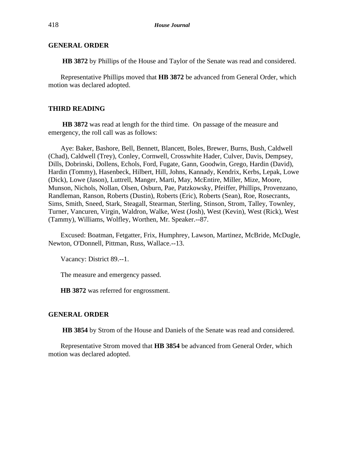## **GENERAL ORDER**

**HB 3872** by Phillips of the House and Taylor of the Senate was read and considered.

Representative Phillips moved that **HB 3872** be advanced from General Order, which motion was declared adopted.

## **THIRD READING**

**HB 3872** was read at length for the third time. On passage of the measure and emergency, the roll call was as follows:

Aye: Baker, Bashore, Bell, Bennett, Blancett, Boles, Brewer, Burns, Bush, Caldwell (Chad), Caldwell (Trey), Conley, Cornwell, Crosswhite Hader, Culver, Davis, Dempsey, Dills, Dobrinski, Dollens, Echols, Ford, Fugate, Gann, Goodwin, Grego, Hardin (David), Hardin (Tommy), Hasenbeck, Hilbert, Hill, Johns, Kannady, Kendrix, Kerbs, Lepak, Lowe (Dick), Lowe (Jason), Luttrell, Manger, Marti, May, McEntire, Miller, Mize, Moore, Munson, Nichols, Nollan, Olsen, Osburn, Pae, Patzkowsky, Pfeiffer, Phillips, Provenzano, Randleman, Ranson, Roberts (Dustin), Roberts (Eric), Roberts (Sean), Roe, Rosecrants, Sims, Smith, Sneed, Stark, Steagall, Stearman, Sterling, Stinson, Strom, Talley, Townley, Turner, Vancuren, Virgin, Waldron, Walke, West (Josh), West (Kevin), West (Rick), West (Tammy), Williams, Wolfley, Worthen, Mr. Speaker.--87.

Excused: Boatman, Fetgatter, Frix, Humphrey, Lawson, Martinez, McBride, McDugle, Newton, O'Donnell, Pittman, Russ, Wallace.--13.

Vacancy: District 89.--1.

The measure and emergency passed.

**HB 3872** was referred for engrossment.

#### **GENERAL ORDER**

**HB 3854** by Strom of the House and Daniels of the Senate was read and considered.

Representative Strom moved that **HB 3854** be advanced from General Order, which motion was declared adopted.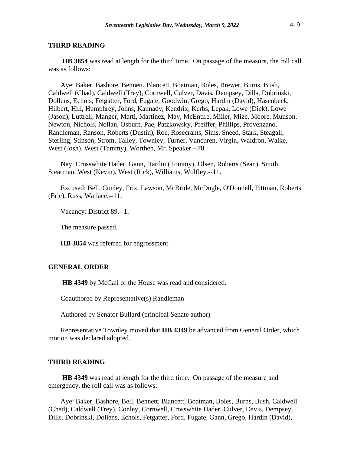#### **THIRD READING**

**HB 3854** was read at length for the third time. On passage of the measure, the roll call was as follows:

Aye: Baker, Bashore, Bennett, Blancett, Boatman, Boles, Brewer, Burns, Bush, Caldwell (Chad), Caldwell (Trey), Cornwell, Culver, Davis, Dempsey, Dills, Dobrinski, Dollens, Echols, Fetgatter, Ford, Fugate, Goodwin, Grego, Hardin (David), Hasenbeck, Hilbert, Hill, Humphrey, Johns, Kannady, Kendrix, Kerbs, Lepak, Lowe (Dick), Lowe (Jason), Luttrell, Manger, Marti, Martinez, May, McEntire, Miller, Mize, Moore, Munson, Newton, Nichols, Nollan, Osburn, Pae, Patzkowsky, Pfeiffer, Phillips, Provenzano, Randleman, Ranson, Roberts (Dustin), Roe, Rosecrants, Sims, Sneed, Stark, Steagall, Sterling, Stinson, Strom, Talley, Townley, Turner, Vancuren, Virgin, Waldron, Walke, West (Josh), West (Tammy), Worthen, Mr. Speaker.--78.

Nay: Crosswhite Hader, Gann, Hardin (Tommy), Olsen, Roberts (Sean), Smith, Stearman, West (Kevin), West (Rick), Williams, Wolfley.--11.

Excused: Bell, Conley, Frix, Lawson, McBride, McDugle, O'Donnell, Pittman, Roberts (Eric), Russ, Wallace.--11.

Vacancy: District 89.--1.

The measure passed.

**HB 3854** was referred for engrossment.

## **GENERAL ORDER**

**HB 4349** by McCall of the House was read and considered.

Coauthored by Representative(s) Randleman

Authored by Senator Bullard (principal Senate author)

Representative Townley moved that **HB 4349** be advanced from General Order, which motion was declared adopted.

#### **THIRD READING**

**HB 4349** was read at length for the third time. On passage of the measure and emergency, the roll call was as follows:

Aye: Baker, Bashore, Bell, Bennett, Blancett, Boatman, Boles, Burns, Bush, Caldwell (Chad), Caldwell (Trey), Conley, Cornwell, Crosswhite Hader, Culver, Davis, Dempsey, Dills, Dobrinski, Dollens, Echols, Fetgatter, Ford, Fugate, Gann, Grego, Hardin (David),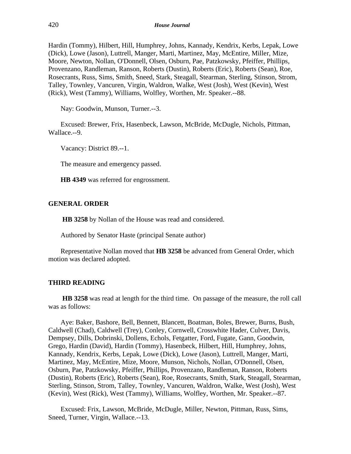Hardin (Tommy), Hilbert, Hill, Humphrey, Johns, Kannady, Kendrix, Kerbs, Lepak, Lowe (Dick), Lowe (Jason), Luttrell, Manger, Marti, Martinez, May, McEntire, Miller, Mize, Moore, Newton, Nollan, O'Donnell, Olsen, Osburn, Pae, Patzkowsky, Pfeiffer, Phillips, Provenzano, Randleman, Ranson, Roberts (Dustin), Roberts (Eric), Roberts (Sean), Roe, Rosecrants, Russ, Sims, Smith, Sneed, Stark, Steagall, Stearman, Sterling, Stinson, Strom, Talley, Townley, Vancuren, Virgin, Waldron, Walke, West (Josh), West (Kevin), West (Rick), West (Tammy), Williams, Wolfley, Worthen, Mr. Speaker.--88.

Nay: Goodwin, Munson, Turner.--3.

Excused: Brewer, Frix, Hasenbeck, Lawson, McBride, McDugle, Nichols, Pittman, Wallace.--9.

Vacancy: District 89.--1.

The measure and emergency passed.

**HB 4349** was referred for engrossment.

## **GENERAL ORDER**

**HB 3258** by Nollan of the House was read and considered.

Authored by Senator Haste (principal Senate author)

Representative Nollan moved that **HB 3258** be advanced from General Order, which motion was declared adopted.

## **THIRD READING**

**HB 3258** was read at length for the third time. On passage of the measure, the roll call was as follows:

Aye: Baker, Bashore, Bell, Bennett, Blancett, Boatman, Boles, Brewer, Burns, Bush, Caldwell (Chad), Caldwell (Trey), Conley, Cornwell, Crosswhite Hader, Culver, Davis, Dempsey, Dills, Dobrinski, Dollens, Echols, Fetgatter, Ford, Fugate, Gann, Goodwin, Grego, Hardin (David), Hardin (Tommy), Hasenbeck, Hilbert, Hill, Humphrey, Johns, Kannady, Kendrix, Kerbs, Lepak, Lowe (Dick), Lowe (Jason), Luttrell, Manger, Marti, Martinez, May, McEntire, Mize, Moore, Munson, Nichols, Nollan, O'Donnell, Olsen, Osburn, Pae, Patzkowsky, Pfeiffer, Phillips, Provenzano, Randleman, Ranson, Roberts (Dustin), Roberts (Eric), Roberts (Sean), Roe, Rosecrants, Smith, Stark, Steagall, Stearman, Sterling, Stinson, Strom, Talley, Townley, Vancuren, Waldron, Walke, West (Josh), West (Kevin), West (Rick), West (Tammy), Williams, Wolfley, Worthen, Mr. Speaker.--87.

Excused: Frix, Lawson, McBride, McDugle, Miller, Newton, Pittman, Russ, Sims, Sneed, Turner, Virgin, Wallace.--13.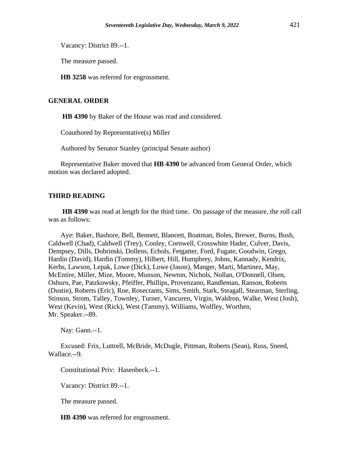Vacancy: District 89.--1.

The measure passed.

**HB 3258** was referred for engrossment.

## **GENERAL ORDER**

**HB 4390** by Baker of the House was read and considered.

Coauthored by Representative(s) Miller

Authored by Senator Stanley (principal Senate author)

Representative Baker moved that **HB 4390** be advanced from General Order, which motion was declared adopted.

## **THIRD READING**

**HB 4390** was read at length for the third time. On passage of the measure, the roll call was as follows:

Aye: Baker, Bashore, Bell, Bennett, Blancett, Boatman, Boles, Brewer, Burns, Bush, Caldwell (Chad), Caldwell (Trey), Conley, Cornwell, Crosswhite Hader, Culver, Davis, Dempsey, Dills, Dobrinski, Dollens, Echols, Fetgatter, Ford, Fugate, Goodwin, Grego, Hardin (David), Hardin (Tommy), Hilbert, Hill, Humphrey, Johns, Kannady, Kendrix, Kerbs, Lawson, Lepak, Lowe (Dick), Lowe (Jason), Manger, Marti, Martinez, May, McEntire, Miller, Mize, Moore, Munson, Newton, Nichols, Nollan, O'Donnell, Olsen, Osburn, Pae, Patzkowsky, Pfeiffer, Phillips, Provenzano, Randleman, Ranson, Roberts (Dustin), Roberts (Eric), Roe, Rosecrants, Sims, Smith, Stark, Steagall, Stearman, Sterling, Stinson, Strom, Talley, Townley, Turner, Vancuren, Virgin, Waldron, Walke, West (Josh), West (Kevin), West (Rick), West (Tammy), Williams, Wolfley, Worthen, Mr. Speaker.--89.

Nay: Gann.--1.

Excused: Frix, Luttrell, McBride, McDugle, Pittman, Roberts (Sean), Russ, Sneed, Wallace.--9.

Constitutional Priv: Hasenbeck.--1.

Vacancy: District 89.--1.

The measure passed.

**HB 4390** was referred for engrossment.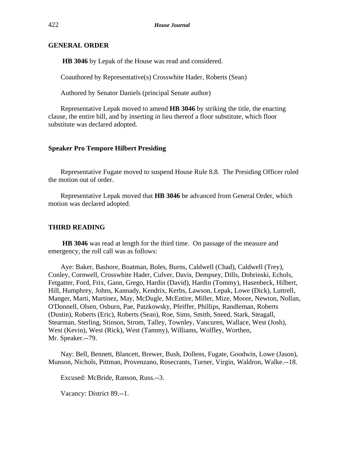## **GENERAL ORDER**

**HB 3046** by Lepak of the House was read and considered.

Coauthored by Representative(s) Crosswhite Hader, Roberts (Sean)

Authored by Senator Daniels (principal Senate author)

Representative Lepak moved to amend **HB 3046** by striking the title, the enacting clause, the entire bill, and by inserting in lieu thereof a floor substitute, which floor substitute was declared adopted.

## **Speaker Pro Tempore Hilbert Presiding**

Representative Fugate moved to suspend House Rule 8.8. The Presiding Officer ruled the motion out of order.

Representative Lepak moved that **HB 3046** be advanced from General Order, which motion was declared adopted.

## **THIRD READING**

**HB 3046** was read at length for the third time. On passage of the measure and emergency, the roll call was as follows:

Aye: Baker, Bashore, Boatman, Boles, Burns, Caldwell (Chad), Caldwell (Trey), Conley, Cornwell, Crosswhite Hader, Culver, Davis, Dempsey, Dills, Dobrinski, Echols, Fetgatter, Ford, Frix, Gann, Grego, Hardin (David), Hardin (Tommy), Hasenbeck, Hilbert, Hill, Humphrey, Johns, Kannady, Kendrix, Kerbs, Lawson, Lepak, Lowe (Dick), Luttrell, Manger, Marti, Martinez, May, McDugle, McEntire, Miller, Mize, Moore, Newton, Nollan, O'Donnell, Olsen, Osburn, Pae, Patzkowsky, Pfeiffer, Phillips, Randleman, Roberts (Dustin), Roberts (Eric), Roberts (Sean), Roe, Sims, Smith, Sneed, Stark, Steagall, Stearman, Sterling, Stinson, Strom, Talley, Townley, Vancuren, Wallace, West (Josh), West (Kevin), West (Rick), West (Tammy), Williams, Wolfley, Worthen, Mr. Speaker.--79.

Nay: Bell, Bennett, Blancett, Brewer, Bush, Dollens, Fugate, Goodwin, Lowe (Jason), Munson, Nichols, Pittman, Provenzano, Rosecrants, Turner, Virgin, Waldron, Walke.--18.

Excused: McBride, Ranson, Russ.--3.

Vacancy: District 89.--1.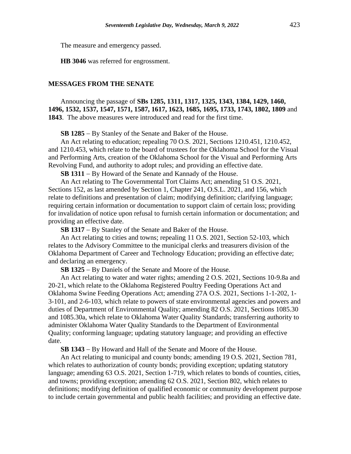The measure and emergency passed.

**HB 3046** was referred for engrossment.

#### **MESSAGES FROM THE SENATE**

Announcing the passage of **SBs 1285, 1311, 1317, 1325, 1343, 1384, 1429, 1460, 1496, 1532, 1537, 1547, 1571, 1587, 1617, 1623, 1685, 1695, 1733, 1743, 1802, 1809** and **1843**. The above measures were introduced and read for the first time.

**SB 1285** − By Stanley of the Senate and Baker of the House.

An Act relating to education; repealing 70 O.S. 2021, Sections 1210.451, 1210.452, and 1210.453, which relate to the board of trustees for the Oklahoma School for the Visual and Performing Arts, creation of the Oklahoma School for the Visual and Performing Arts Revolving Fund, and authority to adopt rules; and providing an effective date.

**SB 1311** − By Howard of the Senate and Kannady of the House.

An Act relating to The Governmental Tort Claims Act; amending 51 O.S. 2021, Sections 152, as last amended by Section 1, Chapter 241, O.S.L. 2021, and 156, which relate to definitions and presentation of claim; modifying definition; clarifying language; requiring certain information or documentation to support claim of certain loss; providing for invalidation of notice upon refusal to furnish certain information or documentation; and providing an effective date.

**SB 1317** − By Stanley of the Senate and Baker of the House.

An Act relating to cities and towns; repealing 11 O.S. 2021, Section 52-103, which relates to the Advisory Committee to the municipal clerks and treasurers division of the Oklahoma Department of Career and Technology Education; providing an effective date; and declaring an emergency.

**SB 1325** − By Daniels of the Senate and Moore of the House.

An Act relating to water and water rights; amending 2 O.S. 2021, Sections 10-9.8a and 20-21, which relate to the Oklahoma Registered Poultry Feeding Operations Act and Oklahoma Swine Feeding Operations Act; amending 27A O.S. 2021, Sections 1-1-202, 1- 3-101, and 2-6-103, which relate to powers of state environmental agencies and powers and duties of Department of Environmental Quality; amending 82 O.S. 2021, Sections 1085.30 and 1085.30a, which relate to Oklahoma Water Quality Standards; transferring authority to administer Oklahoma Water Quality Standards to the Department of Environmental Quality; conforming language; updating statutory language; and providing an effective date.

**SB 1343** − By Howard and Hall of the Senate and Moore of the House.

An Act relating to municipal and county bonds; amending 19 O.S. 2021, Section 781, which relates to authorization of county bonds; providing exception; updating statutory language; amending 63 O.S. 2021, Section 1-719, which relates to bonds of counties, cities, and towns; providing exception; amending 62 O.S. 2021, Section 802, which relates to definitions; modifying definition of qualified economic or community development purpose to include certain governmental and public health facilities; and providing an effective date.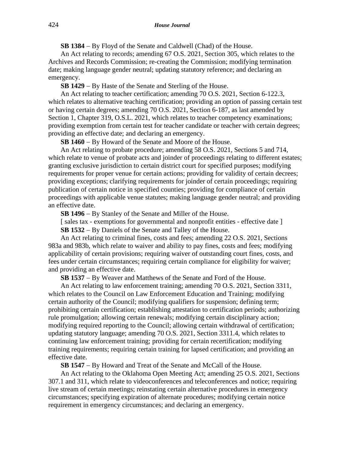**SB 1384** − By Floyd of the Senate and Caldwell (Chad) of the House.

An Act relating to records; amending 67 O.S. 2021, Section 305, which relates to the Archives and Records Commission; re-creating the Commission; modifying termination date; making language gender neutral; updating statutory reference; and declaring an emergency.

**SB 1429** − By Haste of the Senate and Sterling of the House.

An Act relating to teacher certification; amending 70 O.S. 2021, Section 6-122.3, which relates to alternative teaching certification; providing an option of passing certain test or having certain degrees; amending 70 O.S. 2021, Section 6-187, as last amended by Section 1, Chapter 319, O.S.L. 2021, which relates to teacher competency examinations; providing exemption from certain test for teacher candidate or teacher with certain degrees; providing an effective date; and declaring an emergency.

**SB 1460** − By Howard of the Senate and Moore of the House.

An Act relating to probate procedure; amending 58 O.S. 2021, Sections 5 and 714, which relate to venue of probate acts and joinder of proceedings relating to different estates; granting exclusive jurisdiction to certain district court for specified purposes; modifying requirements for proper venue for certain actions; providing for validity of certain decrees; providing exceptions; clarifying requirements for joinder of certain proceedings; requiring publication of certain notice in specified counties; providing for compliance of certain proceedings with applicable venue statutes; making language gender neutral; and providing an effective date.

**SB 1496** − By Stanley of the Senate and Miller of the House.

[ sales tax - exemptions for governmental and nonprofit entities - effective date ]

**SB 1532** − By Daniels of the Senate and Talley of the House.

An Act relating to criminal fines, costs and fees; amending 22 O.S. 2021, Sections 983a and 983b, which relate to waiver and ability to pay fines, costs and fees; modifying applicability of certain provisions; requiring waiver of outstanding court fines, costs, and fees under certain circumstances; requiring certain compliance for eligibility for waiver; and providing an effective date.

**SB 1537** − By Weaver and Matthews of the Senate and Ford of the House.

An Act relating to law enforcement training; amending 70 O.S. 2021, Section 3311, which relates to the Council on Law Enforcement Education and Training; modifying certain authority of the Council; modifying qualifiers for suspension; defining term; prohibiting certain certification; establishing attestation to certification periods; authorizing rule promulgation; allowing certain renewals; modifying certain disciplinary action; modifying required reporting to the Council; allowing certain withdrawal of certification; updating statutory language; amending 70 O.S. 2021, Section 3311.4, which relates to continuing law enforcement training; providing for certain recertification; modifying training requirements; requiring certain training for lapsed certification; and providing an effective date.

**SB 1547** − By Howard and Treat of the Senate and McCall of the House.

An Act relating to the Oklahoma Open Meeting Act; amending 25 O.S. 2021, Sections 307.1 and 311, which relate to videoconferences and teleconferences and notice; requiring live stream of certain meetings; reinstating certain alternative procedures in emergency circumstances; specifying expiration of alternate procedures; modifying certain notice requirement in emergency circumstances; and declaring an emergency.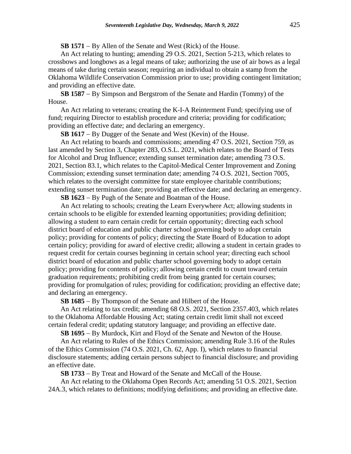**SB 1571** − By Allen of the Senate and West (Rick) of the House.

An Act relating to hunting; amending 29 O.S. 2021, Section 5-213, which relates to crossbows and longbows as a legal means of take; authorizing the use of air bows as a legal means of take during certain season; requiring an individual to obtain a stamp from the Oklahoma Wildlife Conservation Commission prior to use; providing contingent limitation; and providing an effective date.

**SB 1587** − By Simpson and Bergstrom of the Senate and Hardin (Tommy) of the House.

An Act relating to veterans; creating the K-I-A Reinterment Fund; specifying use of fund; requiring Director to establish procedure and criteria; providing for codification; providing an effective date; and declaring an emergency.

**SB 1617** − By Dugger of the Senate and West (Kevin) of the House.

An Act relating to boards and commissions; amending 47 O.S. 2021, Section 759, as last amended by Section 3, Chapter 283, O.S.L. 2021, which relates to the Board of Tests for Alcohol and Drug Influence; extending sunset termination date; amending 73 O.S. 2021, Section 83.1, which relates to the Capitol-Medical Center Improvement and Zoning Commission; extending sunset termination date; amending 74 O.S. 2021, Section 7005, which relates to the oversight committee for state employee charitable contributions; extending sunset termination date; providing an effective date; and declaring an emergency.

**SB 1623** − By Pugh of the Senate and Boatman of the House.

An Act relating to schools; creating the Learn Everywhere Act; allowing students in certain schools to be eligible for extended learning opportunities; providing definition; allowing a student to earn certain credit for certain opportunity; directing each school district board of education and public charter school governing body to adopt certain policy; providing for contents of policy; directing the State Board of Education to adopt certain policy; providing for award of elective credit; allowing a student in certain grades to request credit for certain courses beginning in certain school year; directing each school district board of education and public charter school governing body to adopt certain policy; providing for contents of policy; allowing certain credit to count toward certain graduation requirements; prohibiting credit from being granted for certain courses; providing for promulgation of rules; providing for codification; providing an effective date; and declaring an emergency.

**SB 1685** − By Thompson of the Senate and Hilbert of the House.

An Act relating to tax credit; amending 68 O.S. 2021, Section 2357.403, which relates to the Oklahoma Affordable Housing Act; stating certain credit limit shall not exceed certain federal credit; updating statutory language; and providing an effective date.

**SB 1695** − By Murdock, Kirt and Floyd of the Senate and Newton of the House.

An Act relating to Rules of the Ethics Commission; amending Rule 3.16 of the Rules of the Ethics Commission (74 O.S. 2021, Ch. 62, App. I), which relates to financial disclosure statements; adding certain persons subject to financial disclosure; and providing an effective date.

**SB 1733** − By Treat and Howard of the Senate and McCall of the House.

An Act relating to the Oklahoma Open Records Act; amending 51 O.S. 2021, Section 24A.3, which relates to definitions; modifying definitions; and providing an effective date.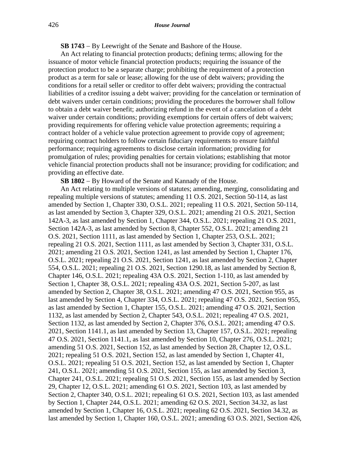**SB 1743** − By Leewright of the Senate and Bashore of the House.

An Act relating to financial protection products; defining terms; allowing for the issuance of motor vehicle financial protection products; requiring the issuance of the protection product to be a separate charge; prohibiting the requirement of a protection product as a term for sale or lease; allowing for the use of debt waivers; providing the conditions for a retail seller or creditor to offer debt waivers; providing the contractual liabilities of a creditor issuing a debt waiver; providing for the cancelation or termination of debt waivers under certain conditions; providing the procedures the borrower shall follow to obtain a debt waiver benefit; authorizing refund in the event of a cancelation of a debt waiver under certain conditions; providing exemptions for certain offers of debt waivers; providing requirements for offering vehicle value protection agreements; requiring a contract holder of a vehicle value protection agreement to provide copy of agreement; requiring contract holders to follow certain fiduciary requirements to ensure faithful performance; requiring agreements to disclose certain information; providing for promulgation of rules; providing penalties for certain violations; establishing that motor vehicle financial protection products shall not be insurance; providing for codification; and providing an effective date.

**SB 1802** − By Howard of the Senate and Kannady of the House.

An Act relating to multiple versions of statutes; amending, merging, consolidating and repealing multiple versions of statutes; amending 11 O.S. 2021, Section 50-114, as last amended by Section 1, Chapter 330, O.S.L. 2021; repealing 11 O.S. 2021, Section 50-114, as last amended by Section 3, Chapter 329, O.S.L. 2021; amending 21 O.S. 2021, Section 142A-3, as last amended by Section 1, Chapter 344, O.S.L. 2021; repealing 21 O.S. 2021, Section 142A-3, as last amended by Section 8, Chapter 552, O.S.L. 2021; amending 21 O.S. 2021, Section 1111, as last amended by Section 1, Chapter 253, O.S.L. 2021; repealing 21 O.S. 2021, Section 1111, as last amended by Section 3, Chapter 331, O.S.L. 2021; amending 21 O.S. 2021, Section 1241, as last amended by Section 1, Chapter 176, O.S.L. 2021; repealing 21 O.S. 2021, Section 1241, as last amended by Section 2, Chapter 554, O.S.L. 2021; repealing 21 O.S. 2021, Section 1290.18, as last amended by Section 8, Chapter 146, O.S.L. 2021; repealing 43A O.S. 2021, Section 1-110, as last amended by Section 1, Chapter 38, O.S.L. 2021; repealing 43A O.S. 2021, Section 5-207, as last amended by Section 2, Chapter 38, O.S.L. 2021; amending 47 O.S. 2021, Section 955, as last amended by Section 4, Chapter 334, O.S.L. 2021; repealing 47 O.S. 2021, Section 955, as last amended by Section 1, Chapter 155, O.S.L. 2021; amending 47 O.S. 2021, Section 1132, as last amended by Section 2, Chapter 543, O.S.L. 2021; repealing 47 O.S. 2021, Section 1132, as last amended by Section 2, Chapter 376, O.S.L. 2021; amending 47 O.S. 2021, Section 1141.1, as last amended by Section 13, Chapter 157, O.S.L. 2021; repealing 47 O.S. 2021, Section 1141.1, as last amended by Section 10, Chapter 276, O.S.L. 2021; amending 51 O.S. 2021, Section 152, as last amended by Section 28, Chapter 12, O.S.L. 2021; repealing 51 O.S. 2021, Section 152, as last amended by Section 1, Chapter 41, O.S.L. 2021; repealing 51 O.S. 2021, Section 152, as last amended by Section 1, Chapter 241, O.S.L. 2021; amending 51 O.S. 2021, Section 155, as last amended by Section 3, Chapter 241, O.S.L. 2021; repealing 51 O.S. 2021, Section 155, as last amended by Section 29, Chapter 12, O.S.L. 2021; amending 61 O.S. 2021, Section 103, as last amended by Section 2, Chapter 340, O.S.L. 2021; repealing 61 O.S. 2021, Section 103, as last amended by Section 1, Chapter 244, O.S.L. 2021; amending 62 O.S. 2021, Section 34.32, as last amended by Section 1, Chapter 16, O.S.L. 2021; repealing 62 O.S. 2021, Section 34.32, as last amended by Section 1, Chapter 160, O.S.L. 2021; amending 63 O.S. 2021, Section 426,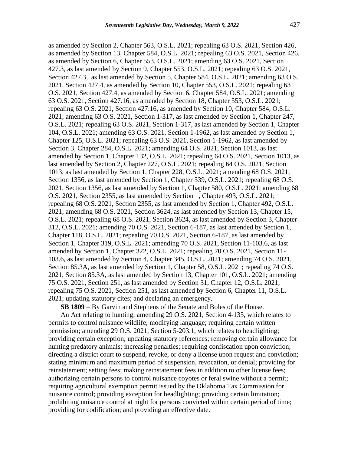as amended by Section 2, Chapter 563, O.S.L. 2021; repealing 63 O.S. 2021, Section 426, as amended by Section 13, Chapter 584, O.S.L. 2021; repealing 63 O.S. 2021, Section 426, as amended by Section 6, Chapter 553, O.S.L. 2021; amending 63 O.S. 2021, Section 427.3, as last amended by Section 9, Chapter 553, O.S.L. 2021; repealing 63 O.S. 2021, Section 427.3, as last amended by Section 5, Chapter 584, O.S.L. 2021; amending 63 O.S. 2021, Section 427.4, as amended by Section 10, Chapter 553, O.S.L. 2021; repealing 63 O.S. 2021, Section 427.4, as amended by Section 6, Chapter 584, O.S.L. 2021; amending 63 O.S. 2021, Section 427.16, as amended by Section 18, Chapter 553, O.S.L. 2021; repealing 63 O.S. 2021, Section 427.16, as amended by Section 10, Chapter 584, O.S.L. 2021; amending 63 O.S. 2021, Section 1-317, as last amended by Section 1, Chapter 247, O.S.L. 2021; repealing 63 O.S. 2021, Section 1-317, as last amended by Section 1, Chapter 104, O.S.L. 2021; amending 63 O.S. 2021, Section 1-1962, as last amended by Section 1, Chapter 125, O.S.L. 2021; repealing 63 O.S. 2021, Section 1-1962, as last amended by Section 3, Chapter 284, O.S.L. 2021; amending 64 O.S. 2021, Section 1013, as last amended by Section 1, Chapter 132, O.S.L. 2021; repealing 64 O.S. 2021, Section 1013, as last amended by Section 2, Chapter 227, O.S.L. 2021; repealing 64 O.S. 2021, Section 1013, as last amended by Section 1, Chapter 228, O.S.L. 2021; amending 68 O.S. 2021, Section 1356, as last amended by Section 1, Chapter 539, O.S.L. 2021; repealing 68 O.S. 2021, Section 1356, as last amended by Section 1, Chapter 580, O.S.L. 2021; amending 68 O.S. 2021, Section 2355, as last amended by Section 1, Chapter 493, O.S.L. 2021; repealing 68 O.S. 2021, Section 2355, as last amended by Section 1, Chapter 492, O.S.L. 2021; amending 68 O.S. 2021, Section 3624, as last amended by Section 13, Chapter 15, O.S.L. 2021; repealing 68 O.S. 2021, Section 3624, as last amended by Section 3, Chapter 312, O.S.L. 2021; amending 70 O.S. 2021, Section 6-187, as last amended by Section 1, Chapter 118, O.S.L. 2021; repealing 70 O.S. 2021, Section 6-187, as last amended by Section 1, Chapter 319, O.S.L. 2021; amending 70 O.S. 2021, Section 11-103.6, as last amended by Section 1, Chapter 322, O.S.L. 2021; repealing 70 O.S. 2021, Section 11- 103.6, as last amended by Section 4, Chapter 345, O.S.L. 2021; amending 74 O.S. 2021, Section 85.3A, as last amended by Section 1, Chapter 58, O.S.L. 2021; repealing 74 O.S. 2021, Section 85.3A, as last amended by Section 13, Chapter 101, O.S.L. 2021; amending 75 O.S. 2021, Section 251, as last amended by Section 31, Chapter 12, O.S.L. 2021; repealing 75 O.S. 2021, Section 251, as last amended by Section 6, Chapter 11, O.S.L. 2021; updating statutory cites; and declaring an emergency.

**SB 1809** − By Garvin and Stephens of the Senate and Boles of the House.

An Act relating to hunting; amending 29 O.S. 2021, Section 4-135, which relates to permits to control nuisance wildlife; modifying language; requiring certain written permission; amending 29 O.S. 2021, Section 5-203.1, which relates to headlighting; providing certain exception; updating statutory references; removing certain allowance for hunting predatory animals; increasing penalties; requiring confiscation upon conviction; directing a district court to suspend, revoke, or deny a license upon request and conviction; stating minimum and maximum period of suspension, revocation, or denial; providing for reinstatement; setting fees; making reinstatement fees in addition to other license fees; authorizing certain persons to control nuisance coyotes or feral swine without a permit; requiring agricultural exemption permit issued by the Oklahoma Tax Commission for nuisance control; providing exception for headlighting; providing certain limitation; prohibiting nuisance control at night for persons convicted within certain period of time; providing for codification; and providing an effective date.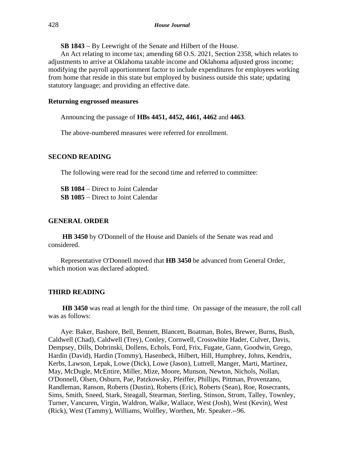**SB 1843** − By Leewright of the Senate and Hilbert of the House.

An Act relating to income tax; amending 68 O.S. 2021, Section 2358, which relates to adjustments to arrive at Oklahoma taxable income and Oklahoma adjusted gross income; modifying the payroll apportionment factor to include expenditures for employees working from home that reside in this state but employed by business outside this state; updating statutory language; and providing an effective date.

#### **Returning engrossed measures**

Announcing the passage of **HBs 4451, 4452, 4461, 4462** and **4463**.

The above-numbered measures were referred for enrollment.

## **SECOND READING**

The following were read for the second time and referred to committee:

**SB 1084** − Direct to Joint Calendar **SB 1085** − Direct to Joint Calendar

## **GENERAL ORDER**

**HB 3450** by O'Donnell of the House and Daniels of the Senate was read and considered.

Representative O'Donnell moved that **HB 3450** be advanced from General Order, which motion was declared adopted.

#### **THIRD READING**

**HB 3450** was read at length for the third time. On passage of the measure, the roll call was as follows:

Aye: Baker, Bashore, Bell, Bennett, Blancett, Boatman, Boles, Brewer, Burns, Bush, Caldwell (Chad), Caldwell (Trey), Conley, Cornwell, Crosswhite Hader, Culver, Davis, Dempsey, Dills, Dobrinski, Dollens, Echols, Ford, Frix, Fugate, Gann, Goodwin, Grego, Hardin (David), Hardin (Tommy), Hasenbeck, Hilbert, Hill, Humphrey, Johns, Kendrix, Kerbs, Lawson, Lepak, Lowe (Dick), Lowe (Jason), Luttrell, Manger, Marti, Martinez, May, McDugle, McEntire, Miller, Mize, Moore, Munson, Newton, Nichols, Nollan, O'Donnell, Olsen, Osburn, Pae, Patzkowsky, Pfeiffer, Phillips, Pittman, Provenzano, Randleman, Ranson, Roberts (Dustin), Roberts (Eric), Roberts (Sean), Roe, Rosecrants, Sims, Smith, Sneed, Stark, Steagall, Stearman, Sterling, Stinson, Strom, Talley, Townley, Turner, Vancuren, Virgin, Waldron, Walke, Wallace, West (Josh), West (Kevin), West (Rick), West (Tammy), Williams, Wolfley, Worthen, Mr. Speaker.--96.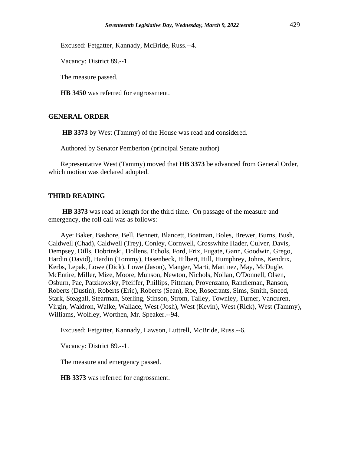Excused: Fetgatter, Kannady, McBride, Russ.--4.

Vacancy: District 89.--1.

The measure passed.

**HB 3450** was referred for engrossment.

## **GENERAL ORDER**

**HB 3373** by West (Tammy) of the House was read and considered.

Authored by Senator Pemberton (principal Senate author)

Representative West (Tammy) moved that **HB 3373** be advanced from General Order, which motion was declared adopted.

## **THIRD READING**

**HB 3373** was read at length for the third time. On passage of the measure and emergency, the roll call was as follows:

Aye: Baker, Bashore, Bell, Bennett, Blancett, Boatman, Boles, Brewer, Burns, Bush, Caldwell (Chad), Caldwell (Trey), Conley, Cornwell, Crosswhite Hader, Culver, Davis, Dempsey, Dills, Dobrinski, Dollens, Echols, Ford, Frix, Fugate, Gann, Goodwin, Grego, Hardin (David), Hardin (Tommy), Hasenbeck, Hilbert, Hill, Humphrey, Johns, Kendrix, Kerbs, Lepak, Lowe (Dick), Lowe (Jason), Manger, Marti, Martinez, May, McDugle, McEntire, Miller, Mize, Moore, Munson, Newton, Nichols, Nollan, O'Donnell, Olsen, Osburn, Pae, Patzkowsky, Pfeiffer, Phillips, Pittman, Provenzano, Randleman, Ranson, Roberts (Dustin), Roberts (Eric), Roberts (Sean), Roe, Rosecrants, Sims, Smith, Sneed, Stark, Steagall, Stearman, Sterling, Stinson, Strom, Talley, Townley, Turner, Vancuren, Virgin, Waldron, Walke, Wallace, West (Josh), West (Kevin), West (Rick), West (Tammy), Williams, Wolfley, Worthen, Mr. Speaker.--94.

Excused: Fetgatter, Kannady, Lawson, Luttrell, McBride, Russ.--6.

Vacancy: District 89.--1.

The measure and emergency passed.

**HB 3373** was referred for engrossment.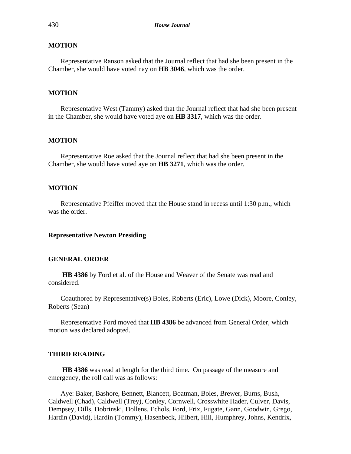## **MOTION**

Representative Ranson asked that the Journal reflect that had she been present in the Chamber, she would have voted nay on **HB 3046**, which was the order.

## **MOTION**

Representative West (Tammy) asked that the Journal reflect that had she been present in the Chamber, she would have voted aye on **HB 3317**, which was the order.

## **MOTION**

Representative Roe asked that the Journal reflect that had she been present in the Chamber, she would have voted aye on **HB 3271**, which was the order.

## **MOTION**

Representative Pfeiffer moved that the House stand in recess until 1:30 p.m., which was the order.

#### **Representative Newton Presiding**

## **GENERAL ORDER**

**HB 4386** by Ford et al. of the House and Weaver of the Senate was read and considered.

Coauthored by Representative(s) Boles, Roberts (Eric), Lowe (Dick), Moore, Conley, Roberts (Sean)

Representative Ford moved that **HB 4386** be advanced from General Order, which motion was declared adopted.

## **THIRD READING**

**HB 4386** was read at length for the third time. On passage of the measure and emergency, the roll call was as follows:

Aye: Baker, Bashore, Bennett, Blancett, Boatman, Boles, Brewer, Burns, Bush, Caldwell (Chad), Caldwell (Trey), Conley, Cornwell, Crosswhite Hader, Culver, Davis, Dempsey, Dills, Dobrinski, Dollens, Echols, Ford, Frix, Fugate, Gann, Goodwin, Grego, Hardin (David), Hardin (Tommy), Hasenbeck, Hilbert, Hill, Humphrey, Johns, Kendrix,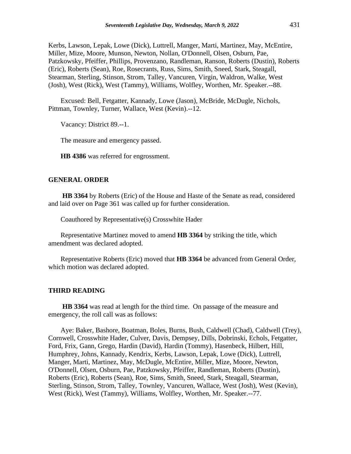Kerbs, Lawson, Lepak, Lowe (Dick), Luttrell, Manger, Marti, Martinez, May, McEntire, Miller, Mize, Moore, Munson, Newton, Nollan, O'Donnell, Olsen, Osburn, Pae, Patzkowsky, Pfeiffer, Phillips, Provenzano, Randleman, Ranson, Roberts (Dustin), Roberts (Eric), Roberts (Sean), Roe, Rosecrants, Russ, Sims, Smith, Sneed, Stark, Steagall, Stearman, Sterling, Stinson, Strom, Talley, Vancuren, Virgin, Waldron, Walke, West (Josh), West (Rick), West (Tammy), Williams, Wolfley, Worthen, Mr. Speaker.--88.

Excused: Bell, Fetgatter, Kannady, Lowe (Jason), McBride, McDugle, Nichols, Pittman, Townley, Turner, Wallace, West (Kevin).--12.

Vacancy: District 89.--1.

The measure and emergency passed.

**HB 4386** was referred for engrossment.

## **GENERAL ORDER**

**HB 3364** by Roberts (Eric) of the House and Haste of the Senate as read, considered and laid over on Page 361 was called up for further consideration.

Coauthored by Representative(s) Crosswhite Hader

Representative Martinez moved to amend **HB 3364** by striking the title, which amendment was declared adopted.

Representative Roberts (Eric) moved that **HB 3364** be advanced from General Order, which motion was declared adopted.

## **THIRD READING**

**HB 3364** was read at length for the third time. On passage of the measure and emergency, the roll call was as follows:

Aye: Baker, Bashore, Boatman, Boles, Burns, Bush, Caldwell (Chad), Caldwell (Trey), Cornwell, Crosswhite Hader, Culver, Davis, Dempsey, Dills, Dobrinski, Echols, Fetgatter, Ford, Frix, Gann, Grego, Hardin (David), Hardin (Tommy), Hasenbeck, Hilbert, Hill, Humphrey, Johns, Kannady, Kendrix, Kerbs, Lawson, Lepak, Lowe (Dick), Luttrell, Manger, Marti, Martinez, May, McDugle, McEntire, Miller, Mize, Moore, Newton, O'Donnell, Olsen, Osburn, Pae, Patzkowsky, Pfeiffer, Randleman, Roberts (Dustin), Roberts (Eric), Roberts (Sean), Roe, Sims, Smith, Sneed, Stark, Steagall, Stearman, Sterling, Stinson, Strom, Talley, Townley, Vancuren, Wallace, West (Josh), West (Kevin), West (Rick), West (Tammy), Williams, Wolfley, Worthen, Mr. Speaker.--77.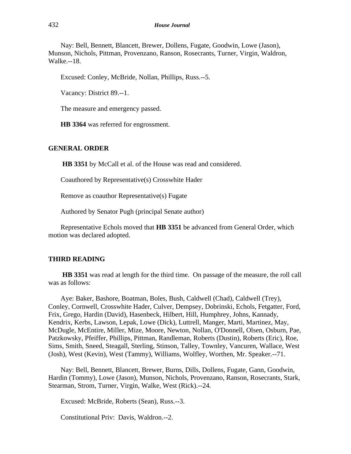Nay: Bell, Bennett, Blancett, Brewer, Dollens, Fugate, Goodwin, Lowe (Jason), Munson, Nichols, Pittman, Provenzano, Ranson, Rosecrants, Turner, Virgin, Waldron, Walke.--18.

Excused: Conley, McBride, Nollan, Phillips, Russ.--5.

Vacancy: District 89.--1.

The measure and emergency passed.

**HB 3364** was referred for engrossment.

## **GENERAL ORDER**

**HB 3351** by McCall et al. of the House was read and considered.

Coauthored by Representative(s) Crosswhite Hader

Remove as coauthor Representative(s) Fugate

Authored by Senator Pugh (principal Senate author)

Representative Echols moved that **HB 3351** be advanced from General Order, which motion was declared adopted.

## **THIRD READING**

**HB 3351** was read at length for the third time. On passage of the measure, the roll call was as follows:

Aye: Baker, Bashore, Boatman, Boles, Bush, Caldwell (Chad), Caldwell (Trey), Conley, Cornwell, Crosswhite Hader, Culver, Dempsey, Dobrinski, Echols, Fetgatter, Ford, Frix, Grego, Hardin (David), Hasenbeck, Hilbert, Hill, Humphrey, Johns, Kannady, Kendrix, Kerbs, Lawson, Lepak, Lowe (Dick), Luttrell, Manger, Marti, Martinez, May, McDugle, McEntire, Miller, Mize, Moore, Newton, Nollan, O'Donnell, Olsen, Osburn, Pae, Patzkowsky, Pfeiffer, Phillips, Pittman, Randleman, Roberts (Dustin), Roberts (Eric), Roe, Sims, Smith, Sneed, Steagall, Sterling, Stinson, Talley, Townley, Vancuren, Wallace, West (Josh), West (Kevin), West (Tammy), Williams, Wolfley, Worthen, Mr. Speaker.--71.

Nay: Bell, Bennett, Blancett, Brewer, Burns, Dills, Dollens, Fugate, Gann, Goodwin, Hardin (Tommy), Lowe (Jason), Munson, Nichols, Provenzano, Ranson, Rosecrants, Stark, Stearman, Strom, Turner, Virgin, Walke, West (Rick).--24.

Excused: McBride, Roberts (Sean), Russ.--3.

Constitutional Priv: Davis, Waldron.--2.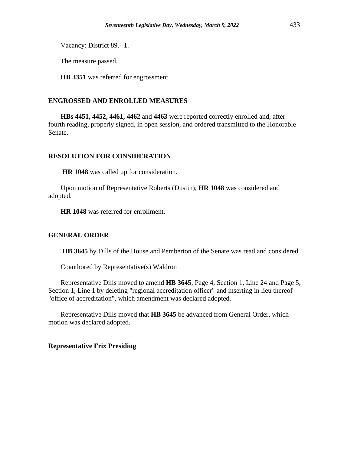Vacancy: District 89.--1.

The measure passed.

**HB 3351** was referred for engrossment.

## **ENGROSSED AND ENROLLED MEASURES**

**HBs 4451, 4452, 4461, 4462** and **4463** were reported correctly enrolled and, after fourth reading, properly signed, in open session, and ordered transmitted to the Honorable Senate.

## **RESOLUTION FOR CONSIDERATION**

**HR 1048** was called up for consideration.

Upon motion of Representative Roberts (Dustin), **HR 1048** was considered and adopted.

**HR 1048** was referred for enrollment.

## **GENERAL ORDER**

**HB 3645** by Dills of the House and Pemberton of the Senate was read and considered.

Coauthored by Representative(s) Waldron

Representative Dills moved to amend **HB 3645**, Page 4, Section 1, Line 24 and Page 5, Section 1, Line 1 by deleting "regional accreditation officer" and inserting in lieu thereof "office of accreditation", which amendment was declared adopted.

Representative Dills moved that **HB 3645** be advanced from General Order, which motion was declared adopted.

## **Representative Frix Presiding**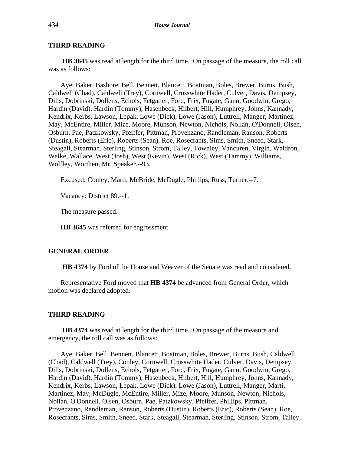## **THIRD READING**

**HB 3645** was read at length for the third time. On passage of the measure, the roll call was as follows:

Aye: Baker, Bashore, Bell, Bennett, Blancett, Boatman, Boles, Brewer, Burns, Bush, Caldwell (Chad), Caldwell (Trey), Cornwell, Crosswhite Hader, Culver, Davis, Dempsey, Dills, Dobrinski, Dollens, Echols, Fetgatter, Ford, Frix, Fugate, Gann, Goodwin, Grego, Hardin (David), Hardin (Tommy), Hasenbeck, Hilbert, Hill, Humphrey, Johns, Kannady, Kendrix, Kerbs, Lawson, Lepak, Lowe (Dick), Lowe (Jason), Luttrell, Manger, Martinez, May, McEntire, Miller, Mize, Moore, Munson, Newton, Nichols, Nollan, O'Donnell, Olsen, Osburn, Pae, Patzkowsky, Pfeiffer, Pittman, Provenzano, Randleman, Ranson, Roberts (Dustin), Roberts (Eric), Roberts (Sean), Roe, Rosecrants, Sims, Smith, Sneed, Stark, Steagall, Stearman, Sterling, Stinson, Strom, Talley, Townley, Vancuren, Virgin, Waldron, Walke, Wallace, West (Josh), West (Kevin), West (Rick), West (Tammy), Williams, Wolfley, Worthen, Mr. Speaker.--93.

Excused: Conley, Marti, McBride, McDugle, Phillips, Russ, Turner.--7.

Vacancy: District 89.--1.

The measure passed.

**HB 3645** was referred for engrossment.

## **GENERAL ORDER**

**HB 4374** by Ford of the House and Weaver of the Senate was read and considered.

Representative Ford moved that **HB 4374** be advanced from General Order, which motion was declared adopted.

#### **THIRD READING**

**HB 4374** was read at length for the third time. On passage of the measure and emergency, the roll call was as follows:

Aye: Baker, Bell, Bennett, Blancett, Boatman, Boles, Brewer, Burns, Bush, Caldwell (Chad), Caldwell (Trey), Conley, Cornwell, Crosswhite Hader, Culver, Davis, Dempsey, Dills, Dobrinski, Dollens, Echols, Fetgatter, Ford, Frix, Fugate, Gann, Goodwin, Grego, Hardin (David), Hardin (Tommy), Hasenbeck, Hilbert, Hill, Humphrey, Johns, Kannady, Kendrix, Kerbs, Lawson, Lepak, Lowe (Dick), Lowe (Jason), Luttrell, Manger, Marti, Martinez, May, McDugle, McEntire, Miller, Mize, Moore, Munson, Newton, Nichols, Nollan, O'Donnell, Olsen, Osburn, Pae, Patzkowsky, Pfeiffer, Phillips, Pittman, Provenzano, Randleman, Ranson, Roberts (Dustin), Roberts (Eric), Roberts (Sean), Roe, Rosecrants, Sims, Smith, Sneed, Stark, Steagall, Stearman, Sterling, Stinson, Strom, Talley,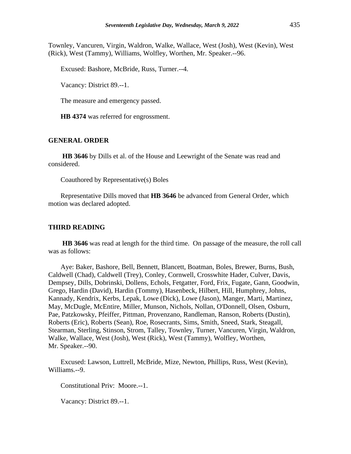Townley, Vancuren, Virgin, Waldron, Walke, Wallace, West (Josh), West (Kevin), West (Rick), West (Tammy), Williams, Wolfley, Worthen, Mr. Speaker.--96.

Excused: Bashore, McBride, Russ, Turner.--4.

Vacancy: District 89.--1.

The measure and emergency passed.

**HB 4374** was referred for engrossment.

#### **GENERAL ORDER**

**HB 3646** by Dills et al. of the House and Leewright of the Senate was read and considered.

Coauthored by Representative(s) Boles

Representative Dills moved that **HB 3646** be advanced from General Order, which motion was declared adopted.

### **THIRD READING**

**HB 3646** was read at length for the third time. On passage of the measure, the roll call was as follows:

Aye: Baker, Bashore, Bell, Bennett, Blancett, Boatman, Boles, Brewer, Burns, Bush, Caldwell (Chad), Caldwell (Trey), Conley, Cornwell, Crosswhite Hader, Culver, Davis, Dempsey, Dills, Dobrinski, Dollens, Echols, Fetgatter, Ford, Frix, Fugate, Gann, Goodwin, Grego, Hardin (David), Hardin (Tommy), Hasenbeck, Hilbert, Hill, Humphrey, Johns, Kannady, Kendrix, Kerbs, Lepak, Lowe (Dick), Lowe (Jason), Manger, Marti, Martinez, May, McDugle, McEntire, Miller, Munson, Nichols, Nollan, O'Donnell, Olsen, Osburn, Pae, Patzkowsky, Pfeiffer, Pittman, Provenzano, Randleman, Ranson, Roberts (Dustin), Roberts (Eric), Roberts (Sean), Roe, Rosecrants, Sims, Smith, Sneed, Stark, Steagall, Stearman, Sterling, Stinson, Strom, Talley, Townley, Turner, Vancuren, Virgin, Waldron, Walke, Wallace, West (Josh), West (Rick), West (Tammy), Wolfley, Worthen, Mr. Speaker.--90.

Excused: Lawson, Luttrell, McBride, Mize, Newton, Phillips, Russ, West (Kevin), Williams.--9.

Constitutional Priv: Moore.--1.

Vacancy: District 89.--1.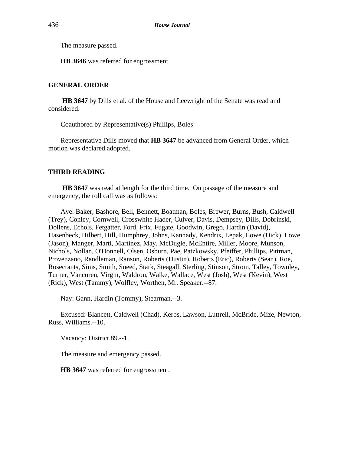The measure passed.

**HB 3646** was referred for engrossment.

## **GENERAL ORDER**

**HB 3647** by Dills et al. of the House and Leewright of the Senate was read and considered.

Coauthored by Representative(s) Phillips, Boles

Representative Dills moved that **HB 3647** be advanced from General Order, which motion was declared adopted.

## **THIRD READING**

**HB 3647** was read at length for the third time. On passage of the measure and emergency, the roll call was as follows:

Aye: Baker, Bashore, Bell, Bennett, Boatman, Boles, Brewer, Burns, Bush, Caldwell (Trey), Conley, Cornwell, Crosswhite Hader, Culver, Davis, Dempsey, Dills, Dobrinski, Dollens, Echols, Fetgatter, Ford, Frix, Fugate, Goodwin, Grego, Hardin (David), Hasenbeck, Hilbert, Hill, Humphrey, Johns, Kannady, Kendrix, Lepak, Lowe (Dick), Lowe (Jason), Manger, Marti, Martinez, May, McDugle, McEntire, Miller, Moore, Munson, Nichols, Nollan, O'Donnell, Olsen, Osburn, Pae, Patzkowsky, Pfeiffer, Phillips, Pittman, Provenzano, Randleman, Ranson, Roberts (Dustin), Roberts (Eric), Roberts (Sean), Roe, Rosecrants, Sims, Smith, Sneed, Stark, Steagall, Sterling, Stinson, Strom, Talley, Townley, Turner, Vancuren, Virgin, Waldron, Walke, Wallace, West (Josh), West (Kevin), West (Rick), West (Tammy), Wolfley, Worthen, Mr. Speaker.--87.

Nay: Gann, Hardin (Tommy), Stearman.--3.

Excused: Blancett, Caldwell (Chad), Kerbs, Lawson, Luttrell, McBride, Mize, Newton, Russ, Williams.--10.

Vacancy: District 89.--1.

The measure and emergency passed.

**HB 3647** was referred for engrossment.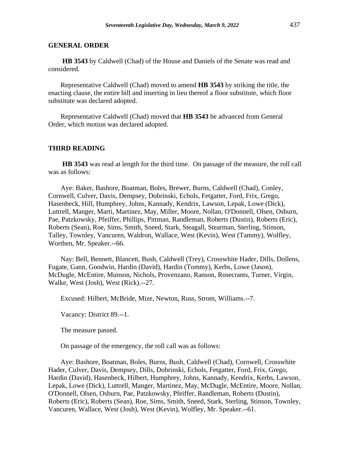## **GENERAL ORDER**

**HB 3543** by Caldwell (Chad) of the House and Daniels of the Senate was read and considered.

Representative Caldwell (Chad) moved to amend **HB 3543** by striking the title, the enacting clause, the entire bill and inserting in lieu thereof a floor substitute, which floor substitute was declared adopted.

Representative Caldwell (Chad) moved that **HB 3543** be advanced from General Order, which motion was declared adopted.

## **THIRD READING**

**HB 3543** was read at length for the third time. On passage of the measure, the roll call was as follows:

Aye: Baker, Bashore, Boatman, Boles, Brewer, Burns, Caldwell (Chad), Conley, Cornwell, Culver, Davis, Dempsey, Dobrinski, Echols, Fetgatter, Ford, Frix, Grego, Hasenbeck, Hill, Humphrey, Johns, Kannady, Kendrix, Lawson, Lepak, Lowe (Dick), Luttrell, Manger, Marti, Martinez, May, Miller, Moore, Nollan, O'Donnell, Olsen, Osburn, Pae, Patzkowsky, Pfeiffer, Phillips, Pittman, Randleman, Roberts (Dustin), Roberts (Eric), Roberts (Sean), Roe, Sims, Smith, Sneed, Stark, Steagall, Stearman, Sterling, Stinson, Talley, Townley, Vancuren, Waldron, Wallace, West (Kevin), West (Tammy), Wolfley, Worthen, Mr. Speaker.--66.

Nay: Bell, Bennett, Blancett, Bush, Caldwell (Trey), Crosswhite Hader, Dills, Dollens, Fugate, Gann, Goodwin, Hardin (David), Hardin (Tommy), Kerbs, Lowe (Jason), McDugle, McEntire, Munson, Nichols, Provenzano, Ranson, Rosecrants, Turner, Virgin, Walke, West (Josh), West (Rick).--27.

Excused: Hilbert, McBride, Mize, Newton, Russ, Strom, Williams.--7.

Vacancy: District 89.--1.

The measure passed.

On passage of the emergency, the roll call was as follows:

Aye: Bashore, Boatman, Boles, Burns, Bush, Caldwell (Chad), Cornwell, Crosswhite Hader, Culver, Davis, Dempsey, Dills, Dobrinski, Echols, Fetgatter, Ford, Frix, Grego, Hardin (David), Hasenbeck, Hilbert, Humphrey, Johns, Kannady, Kendrix, Kerbs, Lawson, Lepak, Lowe (Dick), Luttrell, Manger, Martinez, May, McDugle, McEntire, Moore, Nollan, O'Donnell, Olsen, Osburn, Pae, Patzkowsky, Pfeiffer, Randleman, Roberts (Dustin), Roberts (Eric), Roberts (Sean), Roe, Sims, Smith, Sneed, Stark, Sterling, Stinson, Townley, Vancuren, Wallace, West (Josh), West (Kevin), Wolfley, Mr. Speaker.--61.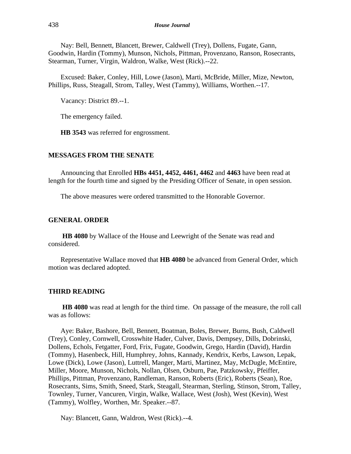Nay: Bell, Bennett, Blancett, Brewer, Caldwell (Trey), Dollens, Fugate, Gann, Goodwin, Hardin (Tommy), Munson, Nichols, Pittman, Provenzano, Ranson, Rosecrants, Stearman, Turner, Virgin, Waldron, Walke, West (Rick).--22.

Excused: Baker, Conley, Hill, Lowe (Jason), Marti, McBride, Miller, Mize, Newton, Phillips, Russ, Steagall, Strom, Talley, West (Tammy), Williams, Worthen.--17.

Vacancy: District 89.--1.

The emergency failed.

**HB 3543** was referred for engrossment.

## **MESSAGES FROM THE SENATE**

Announcing that Enrolled **HBs 4451, 4452, 4461, 4462** and **4463** have been read at length for the fourth time and signed by the Presiding Officer of Senate, in open session.

The above measures were ordered transmitted to the Honorable Governor.

#### **GENERAL ORDER**

**HB 4080** by Wallace of the House and Leewright of the Senate was read and considered.

Representative Wallace moved that **HB 4080** be advanced from General Order, which motion was declared adopted.

## **THIRD READING**

**HB 4080** was read at length for the third time. On passage of the measure, the roll call was as follows:

Aye: Baker, Bashore, Bell, Bennett, Boatman, Boles, Brewer, Burns, Bush, Caldwell (Trey), Conley, Cornwell, Crosswhite Hader, Culver, Davis, Dempsey, Dills, Dobrinski, Dollens, Echols, Fetgatter, Ford, Frix, Fugate, Goodwin, Grego, Hardin (David), Hardin (Tommy), Hasenbeck, Hill, Humphrey, Johns, Kannady, Kendrix, Kerbs, Lawson, Lepak, Lowe (Dick), Lowe (Jason), Luttrell, Manger, Marti, Martinez, May, McDugle, McEntire, Miller, Moore, Munson, Nichols, Nollan, Olsen, Osburn, Pae, Patzkowsky, Pfeiffer, Phillips, Pittman, Provenzano, Randleman, Ranson, Roberts (Eric), Roberts (Sean), Roe, Rosecrants, Sims, Smith, Sneed, Stark, Steagall, Stearman, Sterling, Stinson, Strom, Talley, Townley, Turner, Vancuren, Virgin, Walke, Wallace, West (Josh), West (Kevin), West (Tammy), Wolfley, Worthen, Mr. Speaker.--87.

Nay: Blancett, Gann, Waldron, West (Rick).--4.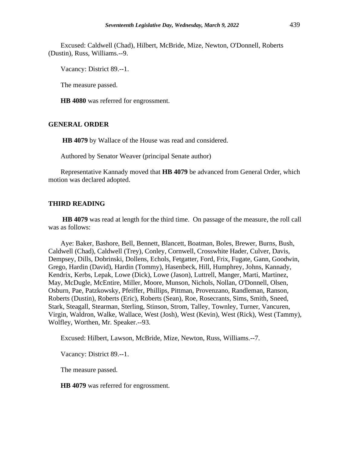Excused: Caldwell (Chad), Hilbert, McBride, Mize, Newton, O'Donnell, Roberts (Dustin), Russ, Williams.--9.

Vacancy: District 89.--1.

The measure passed.

**HB 4080** was referred for engrossment.

## **GENERAL ORDER**

**HB 4079** by Wallace of the House was read and considered.

Authored by Senator Weaver (principal Senate author)

Representative Kannady moved that **HB 4079** be advanced from General Order, which motion was declared adopted.

#### **THIRD READING**

**HB 4079** was read at length for the third time. On passage of the measure, the roll call was as follows:

Aye: Baker, Bashore, Bell, Bennett, Blancett, Boatman, Boles, Brewer, Burns, Bush, Caldwell (Chad), Caldwell (Trey), Conley, Cornwell, Crosswhite Hader, Culver, Davis, Dempsey, Dills, Dobrinski, Dollens, Echols, Fetgatter, Ford, Frix, Fugate, Gann, Goodwin, Grego, Hardin (David), Hardin (Tommy), Hasenbeck, Hill, Humphrey, Johns, Kannady, Kendrix, Kerbs, Lepak, Lowe (Dick), Lowe (Jason), Luttrell, Manger, Marti, Martinez, May, McDugle, McEntire, Miller, Moore, Munson, Nichols, Nollan, O'Donnell, Olsen, Osburn, Pae, Patzkowsky, Pfeiffer, Phillips, Pittman, Provenzano, Randleman, Ranson, Roberts (Dustin), Roberts (Eric), Roberts (Sean), Roe, Rosecrants, Sims, Smith, Sneed, Stark, Steagall, Stearman, Sterling, Stinson, Strom, Talley, Townley, Turner, Vancuren, Virgin, Waldron, Walke, Wallace, West (Josh), West (Kevin), West (Rick), West (Tammy), Wolfley, Worthen, Mr. Speaker.--93.

Excused: Hilbert, Lawson, McBride, Mize, Newton, Russ, Williams.--7.

Vacancy: District 89.--1.

The measure passed.

**HB 4079** was referred for engrossment.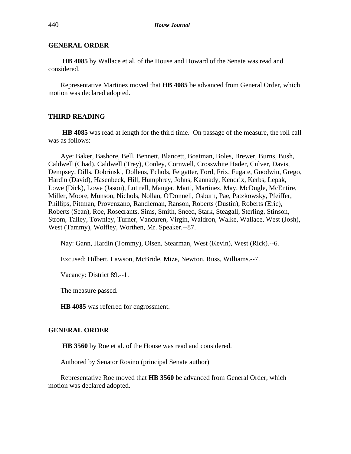## **GENERAL ORDER**

**HB 4085** by Wallace et al. of the House and Howard of the Senate was read and considered.

Representative Martinez moved that **HB 4085** be advanced from General Order, which motion was declared adopted.

## **THIRD READING**

**HB 4085** was read at length for the third time. On passage of the measure, the roll call was as follows:

Aye: Baker, Bashore, Bell, Bennett, Blancett, Boatman, Boles, Brewer, Burns, Bush, Caldwell (Chad), Caldwell (Trey), Conley, Cornwell, Crosswhite Hader, Culver, Davis, Dempsey, Dills, Dobrinski, Dollens, Echols, Fetgatter, Ford, Frix, Fugate, Goodwin, Grego, Hardin (David), Hasenbeck, Hill, Humphrey, Johns, Kannady, Kendrix, Kerbs, Lepak, Lowe (Dick), Lowe (Jason), Luttrell, Manger, Marti, Martinez, May, McDugle, McEntire, Miller, Moore, Munson, Nichols, Nollan, O'Donnell, Osburn, Pae, Patzkowsky, Pfeiffer, Phillips, Pittman, Provenzano, Randleman, Ranson, Roberts (Dustin), Roberts (Eric), Roberts (Sean), Roe, Rosecrants, Sims, Smith, Sneed, Stark, Steagall, Sterling, Stinson, Strom, Talley, Townley, Turner, Vancuren, Virgin, Waldron, Walke, Wallace, West (Josh), West (Tammy), Wolfley, Worthen, Mr. Speaker.--87.

Nay: Gann, Hardin (Tommy), Olsen, Stearman, West (Kevin), West (Rick).--6.

Excused: Hilbert, Lawson, McBride, Mize, Newton, Russ, Williams.--7.

Vacancy: District 89.--1.

The measure passed.

**HB 4085** was referred for engrossment.

## **GENERAL ORDER**

**HB 3560** by Roe et al. of the House was read and considered.

Authored by Senator Rosino (principal Senate author)

Representative Roe moved that **HB 3560** be advanced from General Order, which motion was declared adopted.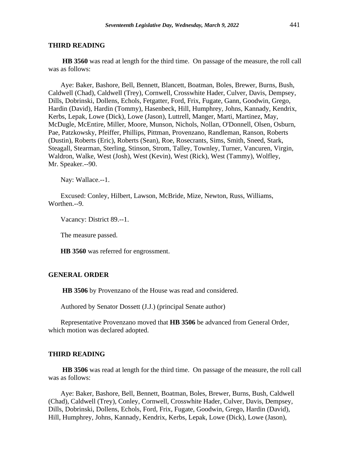#### **THIRD READING**

**HB 3560** was read at length for the third time. On passage of the measure, the roll call was as follows:

Aye: Baker, Bashore, Bell, Bennett, Blancett, Boatman, Boles, Brewer, Burns, Bush, Caldwell (Chad), Caldwell (Trey), Cornwell, Crosswhite Hader, Culver, Davis, Dempsey, Dills, Dobrinski, Dollens, Echols, Fetgatter, Ford, Frix, Fugate, Gann, Goodwin, Grego, Hardin (David), Hardin (Tommy), Hasenbeck, Hill, Humphrey, Johns, Kannady, Kendrix, Kerbs, Lepak, Lowe (Dick), Lowe (Jason), Luttrell, Manger, Marti, Martinez, May, McDugle, McEntire, Miller, Moore, Munson, Nichols, Nollan, O'Donnell, Olsen, Osburn, Pae, Patzkowsky, Pfeiffer, Phillips, Pittman, Provenzano, Randleman, Ranson, Roberts (Dustin), Roberts (Eric), Roberts (Sean), Roe, Rosecrants, Sims, Smith, Sneed, Stark, Steagall, Stearman, Sterling, Stinson, Strom, Talley, Townley, Turner, Vancuren, Virgin, Waldron, Walke, West (Josh), West (Kevin), West (Rick), West (Tammy), Wolfley, Mr. Speaker.--90.

Nay: Wallace.--1.

Excused: Conley, Hilbert, Lawson, McBride, Mize, Newton, Russ, Williams, Worthen.--9.

Vacancy: District 89.--1.

The measure passed.

**HB 3560** was referred for engrossment.

## **GENERAL ORDER**

**HB 3506** by Provenzano of the House was read and considered.

Authored by Senator Dossett (J.J.) (principal Senate author)

Representative Provenzano moved that **HB 3506** be advanced from General Order, which motion was declared adopted.

## **THIRD READING**

**HB 3506** was read at length for the third time. On passage of the measure, the roll call was as follows:

Aye: Baker, Bashore, Bell, Bennett, Boatman, Boles, Brewer, Burns, Bush, Caldwell (Chad), Caldwell (Trey), Conley, Cornwell, Crosswhite Hader, Culver, Davis, Dempsey, Dills, Dobrinski, Dollens, Echols, Ford, Frix, Fugate, Goodwin, Grego, Hardin (David), Hill, Humphrey, Johns, Kannady, Kendrix, Kerbs, Lepak, Lowe (Dick), Lowe (Jason),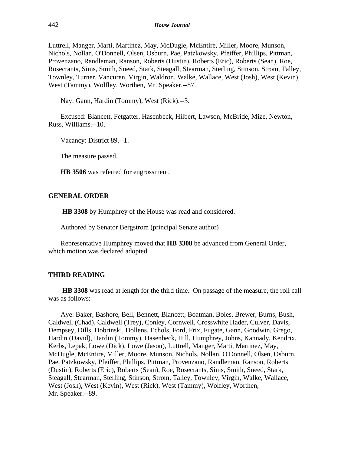Luttrell, Manger, Marti, Martinez, May, McDugle, McEntire, Miller, Moore, Munson, Nichols, Nollan, O'Donnell, Olsen, Osburn, Pae, Patzkowsky, Pfeiffer, Phillips, Pittman, Provenzano, Randleman, Ranson, Roberts (Dustin), Roberts (Eric), Roberts (Sean), Roe, Rosecrants, Sims, Smith, Sneed, Stark, Steagall, Stearman, Sterling, Stinson, Strom, Talley, Townley, Turner, Vancuren, Virgin, Waldron, Walke, Wallace, West (Josh), West (Kevin), West (Tammy), Wolfley, Worthen, Mr. Speaker.--87.

Nay: Gann, Hardin (Tommy), West (Rick).--3.

Excused: Blancett, Fetgatter, Hasenbeck, Hilbert, Lawson, McBride, Mize, Newton, Russ, Williams.--10.

Vacancy: District 89.--1.

The measure passed.

**HB 3506** was referred for engrossment.

## **GENERAL ORDER**

**HB 3308** by Humphrey of the House was read and considered.

Authored by Senator Bergstrom (principal Senate author)

Representative Humphrey moved that **HB 3308** be advanced from General Order, which motion was declared adopted.

## **THIRD READING**

**HB 3308** was read at length for the third time. On passage of the measure, the roll call was as follows:

Aye: Baker, Bashore, Bell, Bennett, Blancett, Boatman, Boles, Brewer, Burns, Bush, Caldwell (Chad), Caldwell (Trey), Conley, Cornwell, Crosswhite Hader, Culver, Davis, Dempsey, Dills, Dobrinski, Dollens, Echols, Ford, Frix, Fugate, Gann, Goodwin, Grego, Hardin (David), Hardin (Tommy), Hasenbeck, Hill, Humphrey, Johns, Kannady, Kendrix, Kerbs, Lepak, Lowe (Dick), Lowe (Jason), Luttrell, Manger, Marti, Martinez, May, McDugle, McEntire, Miller, Moore, Munson, Nichols, Nollan, O'Donnell, Olsen, Osburn, Pae, Patzkowsky, Pfeiffer, Phillips, Pittman, Provenzano, Randleman, Ranson, Roberts (Dustin), Roberts (Eric), Roberts (Sean), Roe, Rosecrants, Sims, Smith, Sneed, Stark, Steagall, Stearman, Sterling, Stinson, Strom, Talley, Townley, Virgin, Walke, Wallace, West (Josh), West (Kevin), West (Rick), West (Tammy), Wolfley, Worthen, Mr. Speaker.--89.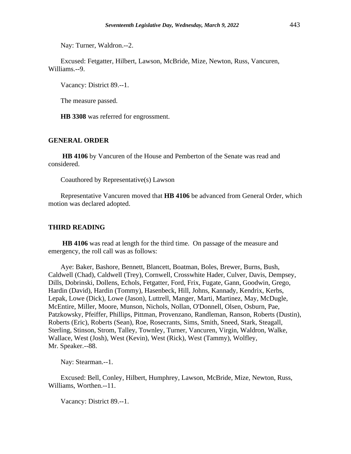Nay: Turner, Waldron.--2.

Excused: Fetgatter, Hilbert, Lawson, McBride, Mize, Newton, Russ, Vancuren, Williams.--9.

Vacancy: District 89.--1.

The measure passed.

**HB 3308** was referred for engrossment.

#### **GENERAL ORDER**

**HB 4106** by Vancuren of the House and Pemberton of the Senate was read and considered.

Coauthored by Representative(s) Lawson

Representative Vancuren moved that **HB 4106** be advanced from General Order, which motion was declared adopted.

## **THIRD READING**

**HB 4106** was read at length for the third time. On passage of the measure and emergency, the roll call was as follows:

Aye: Baker, Bashore, Bennett, Blancett, Boatman, Boles, Brewer, Burns, Bush, Caldwell (Chad), Caldwell (Trey), Cornwell, Crosswhite Hader, Culver, Davis, Dempsey, Dills, Dobrinski, Dollens, Echols, Fetgatter, Ford, Frix, Fugate, Gann, Goodwin, Grego, Hardin (David), Hardin (Tommy), Hasenbeck, Hill, Johns, Kannady, Kendrix, Kerbs, Lepak, Lowe (Dick), Lowe (Jason), Luttrell, Manger, Marti, Martinez, May, McDugle, McEntire, Miller, Moore, Munson, Nichols, Nollan, O'Donnell, Olsen, Osburn, Pae, Patzkowsky, Pfeiffer, Phillips, Pittman, Provenzano, Randleman, Ranson, Roberts (Dustin), Roberts (Eric), Roberts (Sean), Roe, Rosecrants, Sims, Smith, Sneed, Stark, Steagall, Sterling, Stinson, Strom, Talley, Townley, Turner, Vancuren, Virgin, Waldron, Walke, Wallace, West (Josh), West (Kevin), West (Rick), West (Tammy), Wolfley, Mr. Speaker.--88.

Nay: Stearman.--1.

Excused: Bell, Conley, Hilbert, Humphrey, Lawson, McBride, Mize, Newton, Russ, Williams, Worthen.--11.

Vacancy: District 89.--1.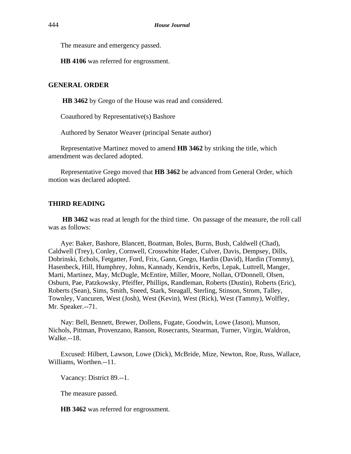The measure and emergency passed.

**HB 4106** was referred for engrossment.

## **GENERAL ORDER**

**HB 3462** by Grego of the House was read and considered.

Coauthored by Representative(s) Bashore

Authored by Senator Weaver (principal Senate author)

Representative Martinez moved to amend **HB 3462** by striking the title, which amendment was declared adopted.

Representative Grego moved that **HB 3462** be advanced from General Order, which motion was declared adopted.

## **THIRD READING**

**HB 3462** was read at length for the third time. On passage of the measure, the roll call was as follows:

Aye: Baker, Bashore, Blancett, Boatman, Boles, Burns, Bush, Caldwell (Chad), Caldwell (Trey), Conley, Cornwell, Crosswhite Hader, Culver, Davis, Dempsey, Dills, Dobrinski, Echols, Fetgatter, Ford, Frix, Gann, Grego, Hardin (David), Hardin (Tommy), Hasenbeck, Hill, Humphrey, Johns, Kannady, Kendrix, Kerbs, Lepak, Luttrell, Manger, Marti, Martinez, May, McDugle, McEntire, Miller, Moore, Nollan, O'Donnell, Olsen, Osburn, Pae, Patzkowsky, Pfeiffer, Phillips, Randleman, Roberts (Dustin), Roberts (Eric), Roberts (Sean), Sims, Smith, Sneed, Stark, Steagall, Sterling, Stinson, Strom, Talley, Townley, Vancuren, West (Josh), West (Kevin), West (Rick), West (Tammy), Wolfley, Mr. Speaker.--71.

Nay: Bell, Bennett, Brewer, Dollens, Fugate, Goodwin, Lowe (Jason), Munson, Nichols, Pittman, Provenzano, Ranson, Rosecrants, Stearman, Turner, Virgin, Waldron, Walke.--18.

Excused: Hilbert, Lawson, Lowe (Dick), McBride, Mize, Newton, Roe, Russ, Wallace, Williams, Worthen.--11.

Vacancy: District 89.--1.

The measure passed.

**HB 3462** was referred for engrossment.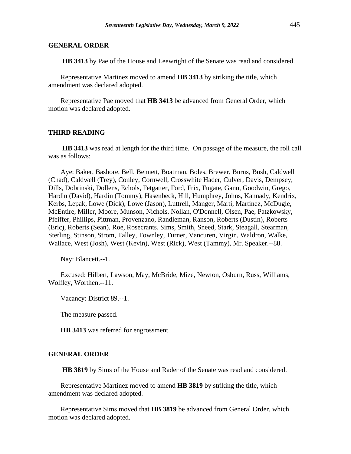## **GENERAL ORDER**

**HB 3413** by Pae of the House and Leewright of the Senate was read and considered.

Representative Martinez moved to amend **HB 3413** by striking the title, which amendment was declared adopted.

Representative Pae moved that **HB 3413** be advanced from General Order, which motion was declared adopted.

## **THIRD READING**

**HB 3413** was read at length for the third time. On passage of the measure, the roll call was as follows:

Aye: Baker, Bashore, Bell, Bennett, Boatman, Boles, Brewer, Burns, Bush, Caldwell (Chad), Caldwell (Trey), Conley, Cornwell, Crosswhite Hader, Culver, Davis, Dempsey, Dills, Dobrinski, Dollens, Echols, Fetgatter, Ford, Frix, Fugate, Gann, Goodwin, Grego, Hardin (David), Hardin (Tommy), Hasenbeck, Hill, Humphrey, Johns, Kannady, Kendrix, Kerbs, Lepak, Lowe (Dick), Lowe (Jason), Luttrell, Manger, Marti, Martinez, McDugle, McEntire, Miller, Moore, Munson, Nichols, Nollan, O'Donnell, Olsen, Pae, Patzkowsky, Pfeiffer, Phillips, Pittman, Provenzano, Randleman, Ranson, Roberts (Dustin), Roberts (Eric), Roberts (Sean), Roe, Rosecrants, Sims, Smith, Sneed, Stark, Steagall, Stearman, Sterling, Stinson, Strom, Talley, Townley, Turner, Vancuren, Virgin, Waldron, Walke, Wallace, West (Josh), West (Kevin), West (Rick), West (Tammy), Mr. Speaker.--88.

Nay: Blancett.--1.

Excused: Hilbert, Lawson, May, McBride, Mize, Newton, Osburn, Russ, Williams, Wolfley, Worthen.--11.

Vacancy: District 89.--1.

The measure passed.

**HB 3413** was referred for engrossment.

## **GENERAL ORDER**

**HB 3819** by Sims of the House and Rader of the Senate was read and considered.

Representative Martinez moved to amend **HB 3819** by striking the title, which amendment was declared adopted.

Representative Sims moved that **HB 3819** be advanced from General Order, which motion was declared adopted.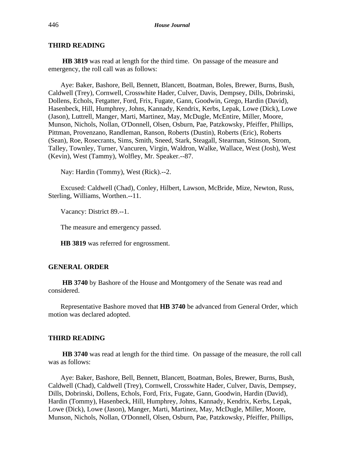## **THIRD READING**

**HB 3819** was read at length for the third time. On passage of the measure and emergency, the roll call was as follows:

Aye: Baker, Bashore, Bell, Bennett, Blancett, Boatman, Boles, Brewer, Burns, Bush, Caldwell (Trey), Cornwell, Crosswhite Hader, Culver, Davis, Dempsey, Dills, Dobrinski, Dollens, Echols, Fetgatter, Ford, Frix, Fugate, Gann, Goodwin, Grego, Hardin (David), Hasenbeck, Hill, Humphrey, Johns, Kannady, Kendrix, Kerbs, Lepak, Lowe (Dick), Lowe (Jason), Luttrell, Manger, Marti, Martinez, May, McDugle, McEntire, Miller, Moore, Munson, Nichols, Nollan, O'Donnell, Olsen, Osburn, Pae, Patzkowsky, Pfeiffer, Phillips, Pittman, Provenzano, Randleman, Ranson, Roberts (Dustin), Roberts (Eric), Roberts (Sean), Roe, Rosecrants, Sims, Smith, Sneed, Stark, Steagall, Stearman, Stinson, Strom, Talley, Townley, Turner, Vancuren, Virgin, Waldron, Walke, Wallace, West (Josh), West (Kevin), West (Tammy), Wolfley, Mr. Speaker.--87.

Nay: Hardin (Tommy), West (Rick).--2.

Excused: Caldwell (Chad), Conley, Hilbert, Lawson, McBride, Mize, Newton, Russ, Sterling, Williams, Worthen.--11.

Vacancy: District 89.--1.

The measure and emergency passed.

**HB 3819** was referred for engrossment.

#### **GENERAL ORDER**

**HB 3740** by Bashore of the House and Montgomery of the Senate was read and considered.

Representative Bashore moved that **HB 3740** be advanced from General Order, which motion was declared adopted.

## **THIRD READING**

**HB 3740** was read at length for the third time. On passage of the measure, the roll call was as follows:

Aye: Baker, Bashore, Bell, Bennett, Blancett, Boatman, Boles, Brewer, Burns, Bush, Caldwell (Chad), Caldwell (Trey), Cornwell, Crosswhite Hader, Culver, Davis, Dempsey, Dills, Dobrinski, Dollens, Echols, Ford, Frix, Fugate, Gann, Goodwin, Hardin (David), Hardin (Tommy), Hasenbeck, Hill, Humphrey, Johns, Kannady, Kendrix, Kerbs, Lepak, Lowe (Dick), Lowe (Jason), Manger, Marti, Martinez, May, McDugle, Miller, Moore, Munson, Nichols, Nollan, O'Donnell, Olsen, Osburn, Pae, Patzkowsky, Pfeiffer, Phillips,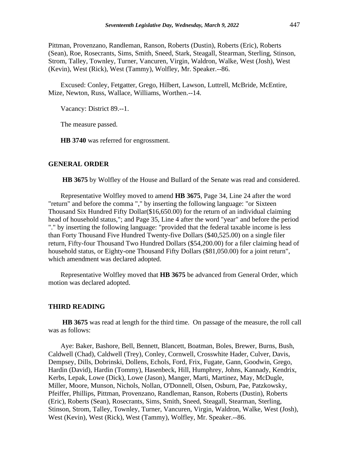Pittman, Provenzano, Randleman, Ranson, Roberts (Dustin), Roberts (Eric), Roberts (Sean), Roe, Rosecrants, Sims, Smith, Sneed, Stark, Steagall, Stearman, Sterling, Stinson, Strom, Talley, Townley, Turner, Vancuren, Virgin, Waldron, Walke, West (Josh), West (Kevin), West (Rick), West (Tammy), Wolfley, Mr. Speaker.--86.

Excused: Conley, Fetgatter, Grego, Hilbert, Lawson, Luttrell, McBride, McEntire, Mize, Newton, Russ, Wallace, Williams, Worthen.--14.

Vacancy: District 89.--1.

The measure passed.

**HB 3740** was referred for engrossment.

## **GENERAL ORDER**

**HB 3675** by Wolfley of the House and Bullard of the Senate was read and considered.

Representative Wolfley moved to amend **HB 3675**, Page 34, Line 24 after the word "return" and before the comma "," by inserting the following language: "or Sixteen Thousand Six Hundred Fifty Dollar(\$16,650.00) for the return of an individual claiming head of household status,"; and Page 35, Line 4 after the word "year" and before the period "." by inserting the following language: "provided that the federal taxable income is less than Forty Thousand Five Hundred Twenty-five Dollars (\$40,525.00) on a single filer return, Fifty-four Thousand Two Hundred Dollars (\$54,200.00) for a filer claiming head of household status, or Eighty-one Thousand Fifty Dollars (\$81,050.00) for a joint return", which amendment was declared adopted.

Representative Wolfley moved that **HB 3675** be advanced from General Order, which motion was declared adopted.

## **THIRD READING**

**HB 3675** was read at length for the third time. On passage of the measure, the roll call was as follows:

Aye: Baker, Bashore, Bell, Bennett, Blancett, Boatman, Boles, Brewer, Burns, Bush, Caldwell (Chad), Caldwell (Trey), Conley, Cornwell, Crosswhite Hader, Culver, Davis, Dempsey, Dills, Dobrinski, Dollens, Echols, Ford, Frix, Fugate, Gann, Goodwin, Grego, Hardin (David), Hardin (Tommy), Hasenbeck, Hill, Humphrey, Johns, Kannady, Kendrix, Kerbs, Lepak, Lowe (Dick), Lowe (Jason), Manger, Marti, Martinez, May, McDugle, Miller, Moore, Munson, Nichols, Nollan, O'Donnell, Olsen, Osburn, Pae, Patzkowsky, Pfeiffer, Phillips, Pittman, Provenzano, Randleman, Ranson, Roberts (Dustin), Roberts (Eric), Roberts (Sean), Rosecrants, Sims, Smith, Sneed, Steagall, Stearman, Sterling, Stinson, Strom, Talley, Townley, Turner, Vancuren, Virgin, Waldron, Walke, West (Josh), West (Kevin), West (Rick), West (Tammy), Wolfley, Mr. Speaker.--86.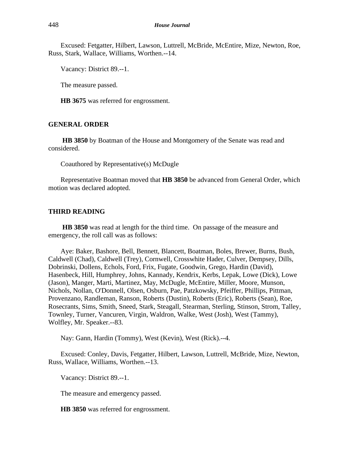Excused: Fetgatter, Hilbert, Lawson, Luttrell, McBride, McEntire, Mize, Newton, Roe, Russ, Stark, Wallace, Williams, Worthen.--14.

Vacancy: District 89.--1.

The measure passed.

**HB 3675** was referred for engrossment.

## **GENERAL ORDER**

**HB 3850** by Boatman of the House and Montgomery of the Senate was read and considered.

Coauthored by Representative(s) McDugle

Representative Boatman moved that **HB 3850** be advanced from General Order, which motion was declared adopted.

## **THIRD READING**

**HB 3850** was read at length for the third time. On passage of the measure and emergency, the roll call was as follows:

Aye: Baker, Bashore, Bell, Bennett, Blancett, Boatman, Boles, Brewer, Burns, Bush, Caldwell (Chad), Caldwell (Trey), Cornwell, Crosswhite Hader, Culver, Dempsey, Dills, Dobrinski, Dollens, Echols, Ford, Frix, Fugate, Goodwin, Grego, Hardin (David), Hasenbeck, Hill, Humphrey, Johns, Kannady, Kendrix, Kerbs, Lepak, Lowe (Dick), Lowe (Jason), Manger, Marti, Martinez, May, McDugle, McEntire, Miller, Moore, Munson, Nichols, Nollan, O'Donnell, Olsen, Osburn, Pae, Patzkowsky, Pfeiffer, Phillips, Pittman, Provenzano, Randleman, Ranson, Roberts (Dustin), Roberts (Eric), Roberts (Sean), Roe, Rosecrants, Sims, Smith, Sneed, Stark, Steagall, Stearman, Sterling, Stinson, Strom, Talley, Townley, Turner, Vancuren, Virgin, Waldron, Walke, West (Josh), West (Tammy), Wolfley, Mr. Speaker.--83.

Nay: Gann, Hardin (Tommy), West (Kevin), West (Rick).--4.

Excused: Conley, Davis, Fetgatter, Hilbert, Lawson, Luttrell, McBride, Mize, Newton, Russ, Wallace, Williams, Worthen.--13.

Vacancy: District 89.--1.

The measure and emergency passed.

**HB 3850** was referred for engrossment.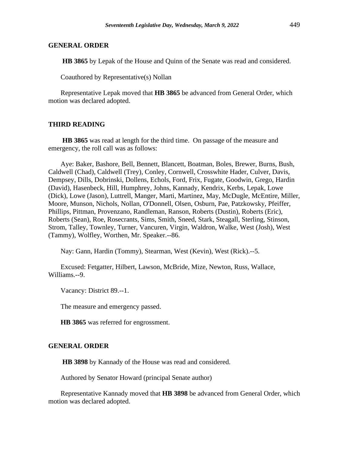## **GENERAL ORDER**

**HB 3865** by Lepak of the House and Quinn of the Senate was read and considered.

Coauthored by Representative(s) Nollan

Representative Lepak moved that **HB 3865** be advanced from General Order, which motion was declared adopted.

## **THIRD READING**

**HB 3865** was read at length for the third time. On passage of the measure and emergency, the roll call was as follows:

Aye: Baker, Bashore, Bell, Bennett, Blancett, Boatman, Boles, Brewer, Burns, Bush, Caldwell (Chad), Caldwell (Trey), Conley, Cornwell, Crosswhite Hader, Culver, Davis, Dempsey, Dills, Dobrinski, Dollens, Echols, Ford, Frix, Fugate, Goodwin, Grego, Hardin (David), Hasenbeck, Hill, Humphrey, Johns, Kannady, Kendrix, Kerbs, Lepak, Lowe (Dick), Lowe (Jason), Luttrell, Manger, Marti, Martinez, May, McDugle, McEntire, Miller, Moore, Munson, Nichols, Nollan, O'Donnell, Olsen, Osburn, Pae, Patzkowsky, Pfeiffer, Phillips, Pittman, Provenzano, Randleman, Ranson, Roberts (Dustin), Roberts (Eric), Roberts (Sean), Roe, Rosecrants, Sims, Smith, Sneed, Stark, Steagall, Sterling, Stinson, Strom, Talley, Townley, Turner, Vancuren, Virgin, Waldron, Walke, West (Josh), West (Tammy), Wolfley, Worthen, Mr. Speaker.--86.

Nay: Gann, Hardin (Tommy), Stearman, West (Kevin), West (Rick).--5.

Excused: Fetgatter, Hilbert, Lawson, McBride, Mize, Newton, Russ, Wallace, Williams.--9.

Vacancy: District 89.--1.

The measure and emergency passed.

**HB 3865** was referred for engrossment.

#### **GENERAL ORDER**

**HB 3898** by Kannady of the House was read and considered.

Authored by Senator Howard (principal Senate author)

Representative Kannady moved that **HB 3898** be advanced from General Order, which motion was declared adopted.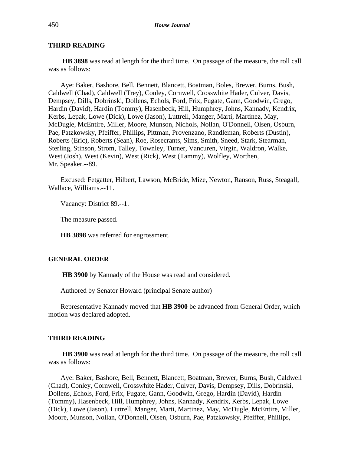## **THIRD READING**

**HB 3898** was read at length for the third time. On passage of the measure, the roll call was as follows:

Aye: Baker, Bashore, Bell, Bennett, Blancett, Boatman, Boles, Brewer, Burns, Bush, Caldwell (Chad), Caldwell (Trey), Conley, Cornwell, Crosswhite Hader, Culver, Davis, Dempsey, Dills, Dobrinski, Dollens, Echols, Ford, Frix, Fugate, Gann, Goodwin, Grego, Hardin (David), Hardin (Tommy), Hasenbeck, Hill, Humphrey, Johns, Kannady, Kendrix, Kerbs, Lepak, Lowe (Dick), Lowe (Jason), Luttrell, Manger, Marti, Martinez, May, McDugle, McEntire, Miller, Moore, Munson, Nichols, Nollan, O'Donnell, Olsen, Osburn, Pae, Patzkowsky, Pfeiffer, Phillips, Pittman, Provenzano, Randleman, Roberts (Dustin), Roberts (Eric), Roberts (Sean), Roe, Rosecrants, Sims, Smith, Sneed, Stark, Stearman, Sterling, Stinson, Strom, Talley, Townley, Turner, Vancuren, Virgin, Waldron, Walke, West (Josh), West (Kevin), West (Rick), West (Tammy), Wolfley, Worthen, Mr. Speaker.--89.

Excused: Fetgatter, Hilbert, Lawson, McBride, Mize, Newton, Ranson, Russ, Steagall, Wallace, Williams.--11.

Vacancy: District 89.--1.

The measure passed.

**HB 3898** was referred for engrossment.

## **GENERAL ORDER**

**HB 3900** by Kannady of the House was read and considered.

Authored by Senator Howard (principal Senate author)

Representative Kannady moved that **HB 3900** be advanced from General Order, which motion was declared adopted.

#### **THIRD READING**

**HB 3900** was read at length for the third time. On passage of the measure, the roll call was as follows:

Aye: Baker, Bashore, Bell, Bennett, Blancett, Boatman, Brewer, Burns, Bush, Caldwell (Chad), Conley, Cornwell, Crosswhite Hader, Culver, Davis, Dempsey, Dills, Dobrinski, Dollens, Echols, Ford, Frix, Fugate, Gann, Goodwin, Grego, Hardin (David), Hardin (Tommy), Hasenbeck, Hill, Humphrey, Johns, Kannady, Kendrix, Kerbs, Lepak, Lowe (Dick), Lowe (Jason), Luttrell, Manger, Marti, Martinez, May, McDugle, McEntire, Miller, Moore, Munson, Nollan, O'Donnell, Olsen, Osburn, Pae, Patzkowsky, Pfeiffer, Phillips,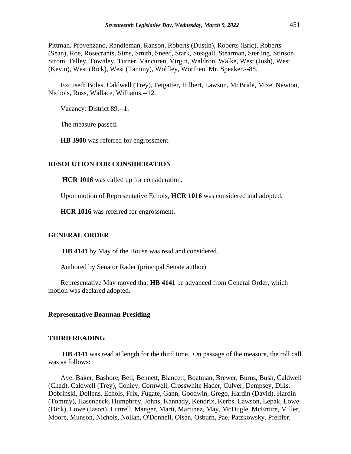Pittman, Provenzano, Randleman, Ranson, Roberts (Dustin), Roberts (Eric), Roberts (Sean), Roe, Rosecrants, Sims, Smith, Sneed, Stark, Steagall, Stearman, Sterling, Stinson, Strom, Talley, Townley, Turner, Vancuren, Virgin, Waldron, Walke, West (Josh), West (Kevin), West (Rick), West (Tammy), Wolfley, Worthen, Mr. Speaker.--88.

Excused: Boles, Caldwell (Trey), Fetgatter, Hilbert, Lawson, McBride, Mize, Newton, Nichols, Russ, Wallace, Williams.--12.

Vacancy: District 89.--1.

The measure passed.

**HB 3900** was referred for engrossment.

## **RESOLUTION FOR CONSIDERATION**

**HCR 1016** was called up for consideration.

Upon motion of Representative Echols, **HCR 1016** was considered and adopted.

**HCR 1016** was referred for engrossment.

#### **GENERAL ORDER**

**HB 4141** by May of the House was read and considered.

Authored by Senator Rader (principal Senate author)

Representative May moved that **HB 4141** be advanced from General Order, which motion was declared adopted.

#### **Representative Boatman Presiding**

#### **THIRD READING**

**HB 4141** was read at length for the third time. On passage of the measure, the roll call was as follows:

Aye: Baker, Bashore, Bell, Bennett, Blancett, Boatman, Brewer, Burns, Bush, Caldwell (Chad), Caldwell (Trey), Conley, Cornwell, Crosswhite Hader, Culver, Dempsey, Dills, Dobrinski, Dollens, Echols, Frix, Fugate, Gann, Goodwin, Grego, Hardin (David), Hardin (Tommy), Hasenbeck, Humphrey, Johns, Kannady, Kendrix, Kerbs, Lawson, Lepak, Lowe (Dick), Lowe (Jason), Luttrell, Manger, Marti, Martinez, May, McDugle, McEntire, Miller, Moore, Munson, Nichols, Nollan, O'Donnell, Olsen, Osburn, Pae, Patzkowsky, Pfeiffer,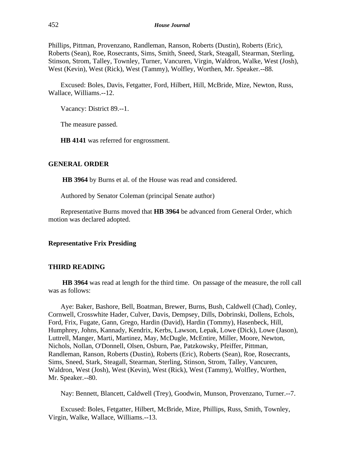Phillips, Pittman, Provenzano, Randleman, Ranson, Roberts (Dustin), Roberts (Eric), Roberts (Sean), Roe, Rosecrants, Sims, Smith, Sneed, Stark, Steagall, Stearman, Sterling, Stinson, Strom, Talley, Townley, Turner, Vancuren, Virgin, Waldron, Walke, West (Josh), West (Kevin), West (Rick), West (Tammy), Wolfley, Worthen, Mr. Speaker.--88.

Excused: Boles, Davis, Fetgatter, Ford, Hilbert, Hill, McBride, Mize, Newton, Russ, Wallace, Williams.--12.

Vacancy: District 89.--1.

The measure passed.

**HB 4141** was referred for engrossment.

## **GENERAL ORDER**

**HB 3964** by Burns et al. of the House was read and considered.

Authored by Senator Coleman (principal Senate author)

Representative Burns moved that **HB 3964** be advanced from General Order, which motion was declared adopted.

#### **Representative Frix Presiding**

#### **THIRD READING**

**HB 3964** was read at length for the third time. On passage of the measure, the roll call was as follows:

Aye: Baker, Bashore, Bell, Boatman, Brewer, Burns, Bush, Caldwell (Chad), Conley, Cornwell, Crosswhite Hader, Culver, Davis, Dempsey, Dills, Dobrinski, Dollens, Echols, Ford, Frix, Fugate, Gann, Grego, Hardin (David), Hardin (Tommy), Hasenbeck, Hill, Humphrey, Johns, Kannady, Kendrix, Kerbs, Lawson, Lepak, Lowe (Dick), Lowe (Jason), Luttrell, Manger, Marti, Martinez, May, McDugle, McEntire, Miller, Moore, Newton, Nichols, Nollan, O'Donnell, Olsen, Osburn, Pae, Patzkowsky, Pfeiffer, Pittman, Randleman, Ranson, Roberts (Dustin), Roberts (Eric), Roberts (Sean), Roe, Rosecrants, Sims, Sneed, Stark, Steagall, Stearman, Sterling, Stinson, Strom, Talley, Vancuren, Waldron, West (Josh), West (Kevin), West (Rick), West (Tammy), Wolfley, Worthen, Mr. Speaker.--80.

Nay: Bennett, Blancett, Caldwell (Trey), Goodwin, Munson, Provenzano, Turner.--7.

Excused: Boles, Fetgatter, Hilbert, McBride, Mize, Phillips, Russ, Smith, Townley, Virgin, Walke, Wallace, Williams.--13.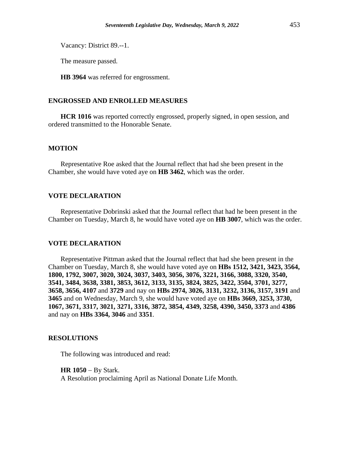Vacancy: District 89.--1.

The measure passed.

**HB 3964** was referred for engrossment.

## **ENGROSSED AND ENROLLED MEASURES**

**HCR 1016** was reported correctly engrossed, properly signed, in open session, and ordered transmitted to the Honorable Senate.

## **MOTION**

Representative Roe asked that the Journal reflect that had she been present in the Chamber, she would have voted aye on **HB 3462**, which was the order.

## **VOTE DECLARATION**

Representative Dobrinski asked that the Journal reflect that had he been present in the Chamber on Tuesday, March 8, he would have voted aye on **HB 3007**, which was the order.

## **VOTE DECLARATION**

Representative Pittman asked that the Journal reflect that had she been present in the Chamber on Tuesday, March 8, she would have voted aye on **HBs 1512, 3421, 3423, 3564, 1800, 1792, 3007, 3020, 3024, 3037, 3403, 3056, 3076, 3221, 3166, 3088, 3320, 3540, 3541, 3484, 3638, 3381, 3853, 3612, 3133, 3135, 3824, 3825, 3422, 3504, 3701, 3277, 3658, 3656, 4107** and **3729** and nay on **HBs 2974, 3026, 3131, 3232, 3136, 3157, 3191** and **3465** and on Wednesday, March 9, she would have voted aye on **HBs 3669, 3253, 3730, 1067, 3671, 3317, 3021, 3271, 3316, 3872, 3854, 4349, 3258, 4390, 3450, 3373** and **4386** and nay on **HBs 3364, 3046** and **3351**.

## **RESOLUTIONS**

The following was introduced and read:

**HR 1050** − By Stark.

A Resolution proclaiming April as National Donate Life Month.